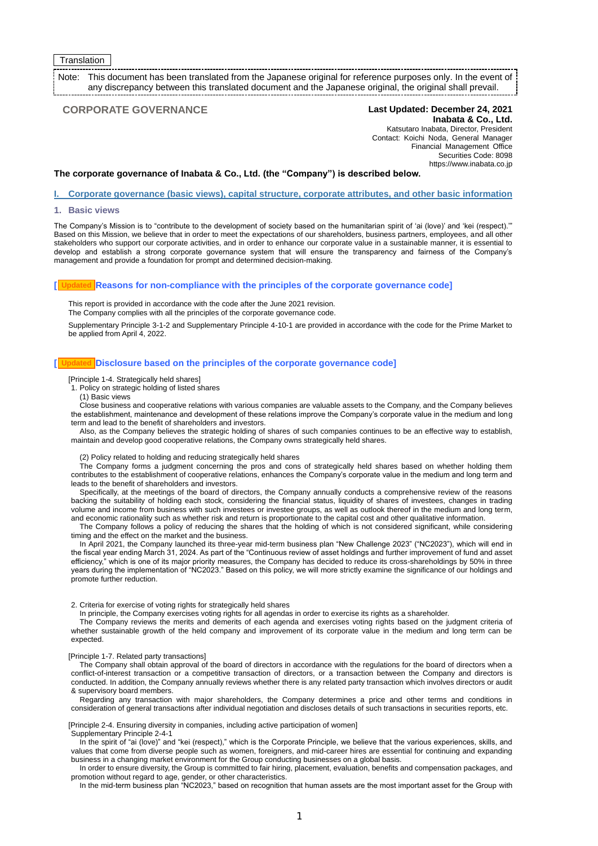## **Translation**

Note: This document has been translated from the Japanese original for reference purposes only. In the event of any discrepancy between this translated document and the Japanese original, the original shall prevail.

## **CORPORATE GOVERNANCE Last Updated: December 24, 2021**

## **Inabata & Co., Ltd.** Katsutaro Inabata, Director, President Contact: Koichi Noda, General Manager Financial Management Office Securities Code: 8098 https://www.inabata.co.jp

### **The corporate governance of Inabata & Co., Ltd. (the "Company") is described below.**

**I. Corporate governance (basic views), capital structure, corporate attributes, and other basic information**

#### **1. Basic views**

The Company's Mission is to "contribute to the development of society based on the humanitarian spirit of 'ai (love)' and 'kei (respect).'" Based on this Mission, we believe that in order to meet the expectations of our shareholders, business partners, employees, and all other stakeholders who support our corporate activities, and in order to enhance our corporate value in a sustainable manner, it is essential to develop and establish a strong corporate governance system that will ensure the transparency and fairness of the Company's management and provide a foundation for prompt and determined decision-making.

#### **[ Reasons for non-compliance with the principles of the corporate governance code] Updated**

This report is provided in accordance with the code after the June 2021 revision.

The Company complies with all the principles of the corporate governance code.

Supplementary Principle 3-1-2 and Supplementary Principle 4-10-1 are provided in accordance with the code for the Prime Market to be applied from April 4, 2022.

#### **[ Disclosure based on the principles of the corporate governance code] Updated**

[Principle 1-4. Strategically held shares]

- 1. Policy on strategic holding of listed shares
- (1) Basic views

Close business and cooperative relations with various companies are valuable assets to the Company, and the Company believes the establishment, maintenance and development of these relations improve the Company's corporate value in the medium and long term and lead to the benefit of shareholders and investors.

Also, as the Company believes the strategic holding of shares of such companies continues to be an effective way to establish, maintain and develop good cooperative relations, the Company owns strategically held shares.

## (2) Policy related to holding and reducing strategically held shares

The Company forms a judgment concerning the pros and cons of strategically held shares based on whether holding them contributes to the establishment of cooperative relations, enhances the Company's corporate value in the medium and long term and leads to the benefit of shareholders and investors.

Specifically, at the meetings of the board of directors, the Company annually conducts a comprehensive review of the reasons backing the suitability of holding each stock, considering the financial status, liquidity of shares of investees, changes in trading volume and income from business with such investees or investee groups, as well as outlook thereof in the medium and long term, and economic rationality such as whether risk and return is proportionate to the capital cost and other qualitative information.

The Company follows a policy of reducing the shares that the holding of which is not considered significant, while considering timing and the effect on the market and the business.

In April 2021, the Company launched its three-year mid-term business plan "New Challenge 2023" ("NC2023"), which will end in the fiscal year ending March 31, 2024. As part of the "Continuous review of asset holdings and further improvement of fund and asset efficiency," which is one of its major priority measures, the Company has decided to reduce its cross-shareholdings by 50% in three years during the implementation of "NC2023." Based on this policy, we will more strictly examine the significance of our holdings and promote further reduction.

#### 2. Criteria for exercise of voting rights for strategically held shares

In principle, the Company exercises voting rights for all agendas in order to exercise its rights as a shareholder.

The Company reviews the merits and demerits of each agenda and exercises voting rights based on the judgment criteria of whether sustainable growth of the held company and improvement of its corporate value in the medium and long term can be expected.

#### [Principle 1-7. Related party transactions]

The Company shall obtain approval of the board of directors in accordance with the regulations for the board of directors when a conflict-of-interest transaction or a competitive transaction of directors, or a transaction between the Company and directors is conducted. In addition, the Company annually reviews whether there is any related party transaction which involves directors or audit & supervisory board members.

Regarding any transaction with major shareholders, the Company determines a price and other terms and conditions in consideration of general transactions after individual negotiation and discloses details of such transactions in securities reports, etc.

#### [Principle 2-4. Ensuring diversity in companies, including active participation of women]

#### Supplementary Principle 2-4-1

In the spirit of "ai (love)" and "kei (respect)," which is the Corporate Principle, we believe that the various experiences, skills, and values that come from diverse people such as women, foreigners, and mid-career hires are essential for continuing and expanding business in a changing market environment for the Group conducting businesses on a global basis.

In order to ensure diversity, the Group is committed to fair hiring, placement, evaluation, benefits and compensation packages, and promotion without regard to age, gender, or other characteristics.

In the mid-term business plan "NC2023," based on recognition that human assets are the most important asset for the Group with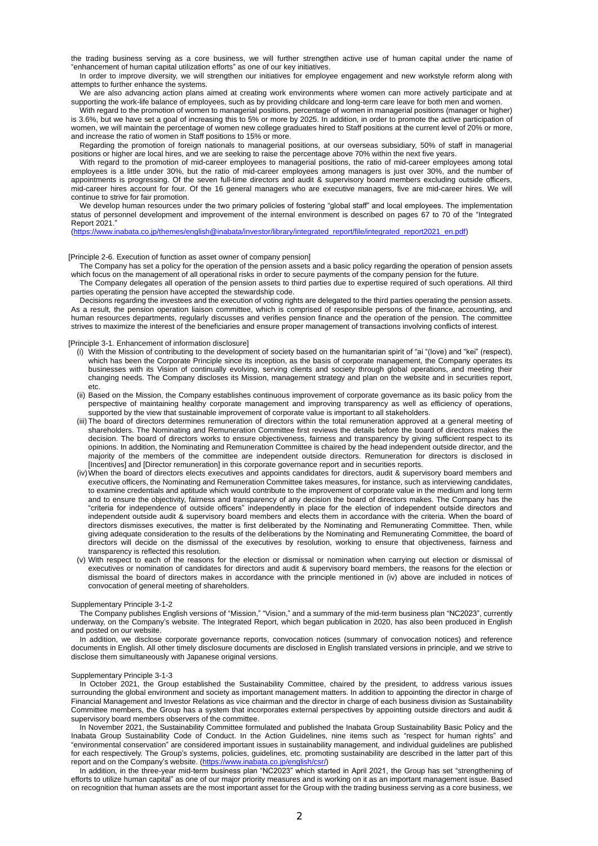the trading business serving as a core business, we will further strengthen active use of human capital under the name of "enhancement of human capital utilization efforts" as one of our key initiatives.

In order to improve diversity, we will strengthen our initiatives for employee engagement and new workstyle reform along with attempts to further enhance the systems.

We are also advancing action plans aimed at creating work environments where women can more actively participate and at supporting the work-life balance of employees, such as by providing childcare and long-term care leave for both men and women. With regard to the promotion of women to managerial positions, percentage of women in managerial positions (manager or higher)

is 3.6%, but we have set a goal of increasing this to 5% or more by 2025. In addition, in order to promote the active participation of women, we will maintain the percentage of women new college graduates hired to Staff positions at the current level of 20% or more, and increase the ratio of women in Staff positions to 15% or more.

Regarding the promotion of foreign nationals to managerial positions, at our overseas subsidiary, 50% of staff in managerial positions or higher are local hires, and we are seeking to raise the percentage above 70% within the next five years.

With regard to the promotion of mid-career employees to managerial positions, the ratio of mid-career employees among total employees is a little under 30%, but the ratio of mid-career employees among managers is just over 30%, and the number of appointments is progressing. Of the seven full-time directors and audit & supervisory board members excluding outside officers, mid-career hires account for four. Of the 16 general managers who are executive managers, five are mid-career hires. We will continue to strive for fair promotion.

We develop human resources under the two primary policies of fostering "global staff" and local employees. The implementation status of personnel development and improvement of the internal environment is described on pages 67 to 70 of the "Integrated Report 2021."

[\(https://www.inabata.co.jp/themes/english@inabata/investor/library/integrated\\_report/file/integrated\\_report2021\\_en.pdf\)](https://www.inabata.co.jp/themes/english@inabata/investor/library/integrated_report/file/integrated_report2021_en.pdf)

#### [Principle 2-6. Execution of function as asset owner of company pension]

The Company has set a policy for the operation of the pension assets and a basic policy regarding the operation of pension assets which focus on the management of all operational risks in order to secure payments of the company pension for the future.

The Company delegates all operation of the pension assets to third parties due to expertise required of such operations. All third parties operating the pension have accepted the stewardship code.

Decisions regarding the investees and the execution of voting rights are delegated to the third parties operating the pension assets. As a result, the pension operation liaison committee, which is comprised of responsible persons of the finance, accounting, and human resources departments, regularly discusses and verifies pension finance and the operation of the pension. The committee strives to maximize the interest of the beneficiaries and ensure proper management of transactions involving conflicts of interest.

#### [Principle 3-1. Enhancement of information disclosure]

- (i) With the Mission of contributing to the development of society based on the humanitarian spirit of "ai "(love) and "kei" (respect), which has been the Corporate Principle since its inception, as the basis of corporate management, the Company operates its businesses with its Vision of continually evolving, serving clients and society through global operations, and meeting their changing needs. The Company discloses its Mission, management strategy and plan on the website and in securities report, etc.
- (ii) Based on the Mission, the Company establishes continuous improvement of corporate governance as its basic policy from the perspective of maintaining healthy corporate management and improving transparency as well as efficiency of operations, supported by the view that sustainable improvement of corporate value is important to all stakeholders.
- (iii) The board of directors determines remuneration of directors within the total remuneration approved at a general meeting of shareholders. The Nominating and Remuneration Committee first reviews the details before the board of directors makes the decision. The board of directors works to ensure objectiveness, fairness and transparency by giving sufficient respect to its opinions. In addition, the Nominating and Remuneration Committee is chaired by the head independent outside director, and the majority of the members of the committee are independent outside directors. Remuneration for directors is disclosed in [Incentives] and [Director remuneration] in this corporate governance report and in securities reports.
- (iv)When the board of directors elects executives and appoints candidates for directors, audit & supervisory board members and executive officers, the Nominating and Remuneration Committee takes measures, for instance, such as interviewing candidates, to examine credentials and aptitude which would contribute to the improvement of corporate value in the medium and long term and to ensure the objectivity, fairness and transparency of any decision the board of directors makes. The Company has the "criteria for independence of outside officers" independently in place for the election of independent outside directors and independent outside audit & supervisory board members and elects them in accordance with the criteria. When the board of directors dismisses executives, the matter is first deliberated by the Nominating and Remunerating Committee. Then, while giving adequate consideration to the results of the deliberations by the Nominating and Remunerating Committee, the board of directors will decide on the dismissal of the executives by resolution, working to ensure that objectiveness, fairness and transparency is reflected this resolution.
- (v) With respect to each of the reasons for the election or dismissal or nomination when carrying out election or dismissal of executives or nomination of candidates for directors and audit & supervisory board members, the reasons for the election or dismissal the board of directors makes in accordance with the principle mentioned in (iv) above are included in notices of convocation of general meeting of shareholders.

#### Supplementary Principle 3-1-2

The Company publishes English versions of "Mission," "Vision," and a summary of the mid-term business plan "NC2023", currently underway, on the Company's website. The Integrated Report, which began publication in 2020, has also been produced in English and posted on our website.

In addition, we disclose corporate governance reports, convocation notices (summary of convocation notices) and reference documents in English. All other timely disclosure documents are disclosed in English translated versions in principle, and we strive to disclose them simultaneously with Japanese original versions.

## Supplementary Principle 3-1-3

In October 2021, the Group established the Sustainability Committee, chaired by the president, to address various issues surrounding the global environment and society as important management matters. In addition to appointing the director in charge of Financial Management and Investor Relations as vice chairman and the director in charge of each business division as Sustainability Committee members, the Group has a system that incorporates external perspectives by appointing outside directors and audit & supervisory board members observers of the committee.

In November 2021, the Sustainability Committee formulated and published the Inabata Group Sustainability Basic Policy and the Inabata Group Sustainability Code of Conduct. In the Action Guidelines, nine items such as "respect for human rights" and "environmental conservation" are considered important issues in sustainability management, and individual guidelines are published for each respectively. The Group's systems, policies, guidelines, etc. promoting sustainability are described in the latter part of this report and on the Company's website. [\(https://www.inabata.co.jp/english/csr/\)](https://www.inabata.co.jp/english/csr/)

In addition, in the three-year mid-term business plan "NC2023" which started in April 2021, the Group has set "strengthening of efforts to utilize human capital" as one of our major priority measures and is working on it as an important management issue. Based on recognition that human assets are the most important asset for the Group with the trading business serving as a core business, we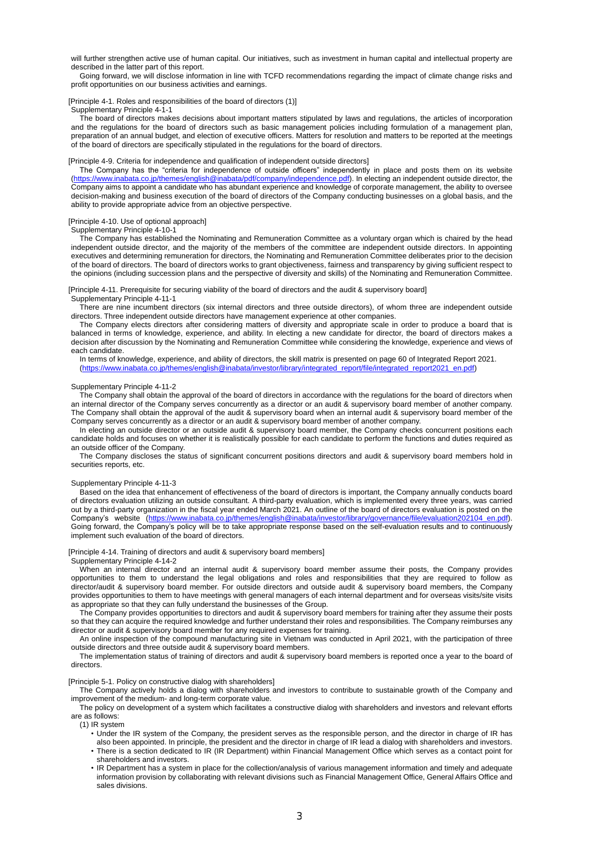will further strengthen active use of human capital. Our initiatives, such as investment in human capital and intellectual property are described in the latter part of this report.

Going forward, we will disclose information in line with TCFD recommendations regarding the impact of climate change risks and profit opportunities on our business activities and earnings.

#### [Principle 4-1. Roles and responsibilities of the board of directors (1)]

Supplementary Principle 4-1-1

The board of directors makes decisions about important matters stipulated by laws and regulations, the articles of incorporation and the regulations for the board of directors such as basic management policies including formulation of a management plan, preparation of an annual budget, and election of executive officers. Matters for resolution and matters to be reported at the meetings of the board of directors are specifically stipulated in the regulations for the board of directors.

#### [Principle 4-9. Criteria for independence and qualification of independent outside directors]

The Company has the "criteria for independence of outside officers" independently in place and posts them on its website [\(https://www.inabata.co.jp/themes/english@inabata/pdf/company/independence.pdf\)](https://www.inabata.co.jp/themes/english@inabata/pdf/company/independence.pdf). In electing an independent outside director, the Company aims to appoint a candidate who has abundant experience and knowledge of corporate management, the ability to oversee decision-making and business execution of the board of directors of the Company conducting businesses on a global basis, and the ability to provide appropriate advice from an objective perspective.

#### [Principle 4-10. Use of optional approach]

Supplementary Principle 4-10-1

The Company has established the Nominating and Remuneration Committee as a voluntary organ which is chaired by the head independent outside director, and the majority of the members of the committee are independent outside directors. In appointing executives and determining remuneration for directors, the Nominating and Remuneration Committee deliberates prior to the decision of the board of directors. The board of directors works to grant objectiveness, fairness and transparency by giving sufficient respect to the opinions (including succession plans and the perspective of diversity and skills) of the Nominating and Remuneration Committee.

[Principle 4-11. Prerequisite for securing viability of the board of directors and the audit & supervisory board] Supplementary Principle 4-11-1

There are nine incumbent directors (six internal directors and three outside directors), of whom three are independent outside directors. Three independent outside directors have management experience at other companies.

The Company elects directors after considering matters of diversity and appropriate scale in order to produce a board that is balanced in terms of knowledge, experience, and ability. In electing a new candidate for director, the board of directors makes a decision after discussion by the Nominating and Remuneration Committee while considering the knowledge, experience and views of each candidate.

In terms of knowledge, experience, and ability of directors, the skill matrix is presented on page 60 of Integrated Report 2021. [\(https://www.inabata.co.jp/themes/english@inabata/investor/library/integrated\\_report/file/integrated\\_report2021\\_en.pdf\)](https://www.inabata.co.jp/themes/english@inabata/investor/library/integrated_report/file/integrated_report2021_en.pdf)

### Supplementary Principle 4-11-2

The Company shall obtain the approval of the board of directors in accordance with the regulations for the board of directors when an internal director of the Company serves concurrently as a director or an audit & supervisory board member of another company. The Company shall obtain the approval of the audit & supervisory board when an internal audit & supervisory board member of the Company serves concurrently as a director or an audit & supervisory board member of another company.

In electing an outside director or an outside audit & supervisory board member, the Company checks concurrent positions each candidate holds and focuses on whether it is realistically possible for each candidate to perform the functions and duties required as an outside officer of the Company.

The Company discloses the status of significant concurrent positions directors and audit & supervisory board members hold in securities reports, etc.

#### Supplementary Principle 4-11-3

Based on the idea that enhancement of effectiveness of the board of directors is important, the Company annually conducts board of directors evaluation utilizing an outside consultant. A third-party evaluation, which is implemented every three years, was carried out by a third-party organization in the fiscal year ended March 2021. An outline of the board of directors evaluation is posted on the Company's website (https://www.inabata.co.jp/themes/english@inabata/investor/library/governance/file/e Going forward, the Company's policy will be to take appropriate response based on the self-evaluation results and to continuously implement such evaluation of the board of directors.

#### [Principle 4-14. Training of directors and audit & supervisory board members]

#### Supplementary Principle 4-14-2

When an internal director and an internal audit & supervisory board member assume their posts, the Company provides opportunities to them to understand the legal obligations and roles and responsibilities that they are required to follow as director/audit & supervisory board member. For outside directors and outside audit & supervisory board members, the Company provides opportunities to them to have meetings with general managers of each internal department and for overseas visits/site visits as appropriate so that they can fully understand the businesses of the Group.

The Company provides opportunities to directors and audit & supervisory board members for training after they assume their posts so that they can acquire the required knowledge and further understand their roles and responsibilities. The Company reimburses any director or audit & supervisory board member for any required expenses for training.

An online inspection of the compound manufacturing site in Vietnam was conducted in April 2021, with the participation of three outside directors and three outside audit & supervisory board members.

The implementation status of training of directors and audit & supervisory board members is reported once a year to the board of directors.

#### [Principle 5-1. Policy on constructive dialog with shareholders]

The Company actively holds a dialog with shareholders and investors to contribute to sustainable growth of the Company and improvement of the medium- and long-term corporate value.

The policy on development of a system which facilitates a constructive dialog with shareholders and investors and relevant efforts are as follows:

### (1) IR system

- Under the IR system of the Company, the president serves as the responsible person, and the director in charge of IR has also been appointed. In principle, the president and the director in charge of IR lead a dialog with shareholders and investors.
- There is a section dedicated to IR (IR Department) within Financial Management Office which serves as a contact point for shareholders and investors.
- IR Department has a system in place for the collection/analysis of various management information and timely and adequate information provision by collaborating with relevant divisions such as Financial Management Office, General Affairs Office and sales divisions.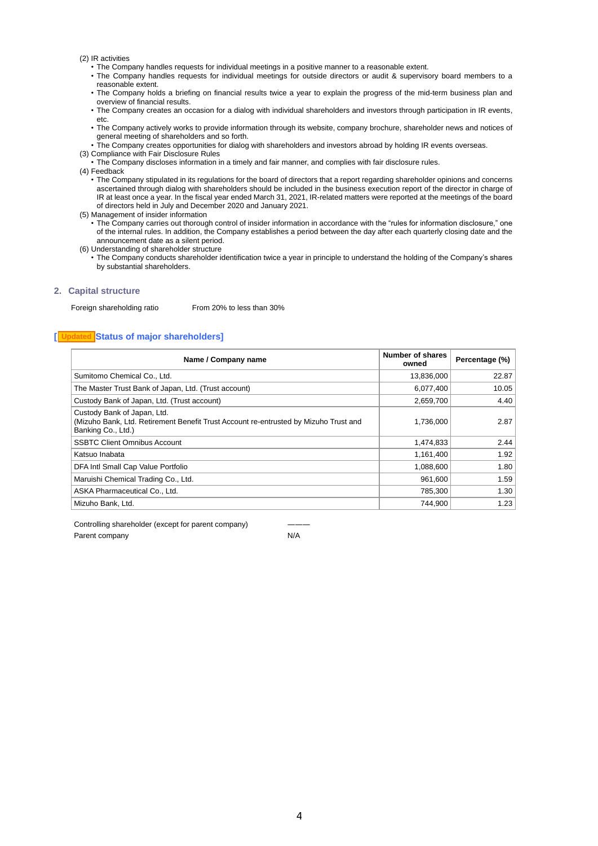(2) IR activities

- The Company handles requests for individual meetings in a positive manner to a reasonable extent.
- The Company handles requests for individual meetings for outside directors or audit & supervisory board members to a reasonable extent.
- The Company holds a briefing on financial results twice a year to explain the progress of the mid-term business plan and overview of financial results.
- The Company creates an occasion for a dialog with individual shareholders and investors through participation in IR events, etc.
- The Company actively works to provide information through its website, company brochure, shareholder news and notices of general meeting of shareholders and so forth.
- The Company creates opportunities for dialog with shareholders and investors abroad by holding IR events overseas.
- (3) Compliance with Fair Disclosure Rules
- The Company discloses information in a timely and fair manner, and complies with fair disclosure rules.

(4) Feedback

- The Company stipulated in its regulations for the board of directors that a report regarding shareholder opinions and concerns ascertained through dialog with shareholders should be included in the business execution report of the director in charge of IR at least once a year. In the fiscal year ended March 31, 2021, IR-related matters were reported at the meetings of the board of directors held in July and December 2020 and January 2021.
- (5) Management of insider information
	- The Company carries out thorough control of insider information in accordance with the "rules for information disclosure," one of the internal rules. In addition, the Company establishes a period between the day after each quarterly closing date and the announcement date as a silent period.
- (6) Understanding of shareholder structure
	- The Company conducts shareholder identification twice a year in principle to understand the holding of the Company's shares by substantial shareholders.

## **2. Capital structure**

Foreign shareholding ratio From 20% to less than 30%

## **[ Status of major shareholders] Updated**

| Name / Company name                                                                                                                       | Number of shares<br>owned | Percentage (%) |
|-------------------------------------------------------------------------------------------------------------------------------------------|---------------------------|----------------|
| Sumitomo Chemical Co., Ltd.                                                                                                               | 13,836,000                | 22.87          |
| The Master Trust Bank of Japan, Ltd. (Trust account)                                                                                      | 6,077,400                 | 10.05          |
| Custody Bank of Japan, Ltd. (Trust account)                                                                                               | 2,659,700                 | 4.40           |
| Custody Bank of Japan, Ltd.<br>(Mizuho Bank, Ltd. Retirement Benefit Trust Account re-entrusted by Mizuho Trust and<br>Banking Co., Ltd.) | 1,736,000                 | 2.87           |
| <b>SSBTC Client Omnibus Account</b>                                                                                                       | 1,474,833                 | 2.44           |
| Katsuo Inabata                                                                                                                            | 1,161,400                 | 1.92           |
| DFA Intl Small Cap Value Portfolio                                                                                                        | 1,088,600                 | 1.80           |
| Maruishi Chemical Trading Co., Ltd.                                                                                                       | 961,600                   | 1.59           |
| ASKA Pharmaceutical Co., Ltd.                                                                                                             | 785,300                   | 1.30           |
| Mizuho Bank, Ltd.                                                                                                                         | 744,900                   | 1.23           |

Controlling shareholder (except for parent company) Parent company N/A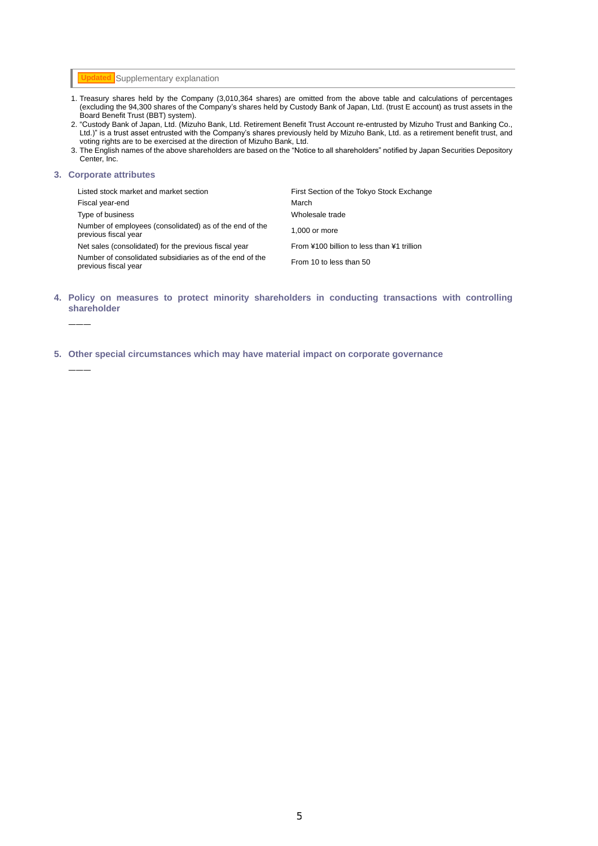**Updated** Supplementary explanation

- 1. Treasury shares held by the Company (3,010,364 shares) are omitted from the above table and calculations of percentages (excluding the 94,300 shares of the Company's shares held by Custody Bank of Japan, Ltd. (trust E account) as trust assets in the Board Benefit Trust (BBT) system).
- 2. "Custody Bank of Japan, Ltd. (Mizuho Bank, Ltd. Retirement Benefit Trust Account re-entrusted by Mizuho Trust and Banking Co., Ltd.)" is a trust asset entrusted with the Company's shares previously held by Mizuho Bank, Ltd. as a retirement benefit trust, and voting rights are to be exercised at the direction of Mizuho Bank, Ltd.
- 3. The English names of the above shareholders are based on the "Notice to all shareholders" notified by Japan Securities Depository Center, Inc.

### **3. Corporate attributes**

―――

―――

| Listed stock market and market section                                           | First Section of the Tokyo Stock Exchange  |
|----------------------------------------------------------------------------------|--------------------------------------------|
| Fiscal year-end                                                                  | March                                      |
| Type of business                                                                 | Wholesale trade                            |
| Number of employees (consolidated) as of the end of the<br>previous fiscal year  | 1.000 or more                              |
| Net sales (consolidated) for the previous fiscal year                            | From ¥100 billion to less than ¥1 trillion |
| Number of consolidated subsidiaries as of the end of the<br>previous fiscal year | From 10 to less than 50                    |

- **4. Policy on measures to protect minority shareholders in conducting transactions with controlling shareholder**
- **5. Other special circumstances which may have material impact on corporate governance**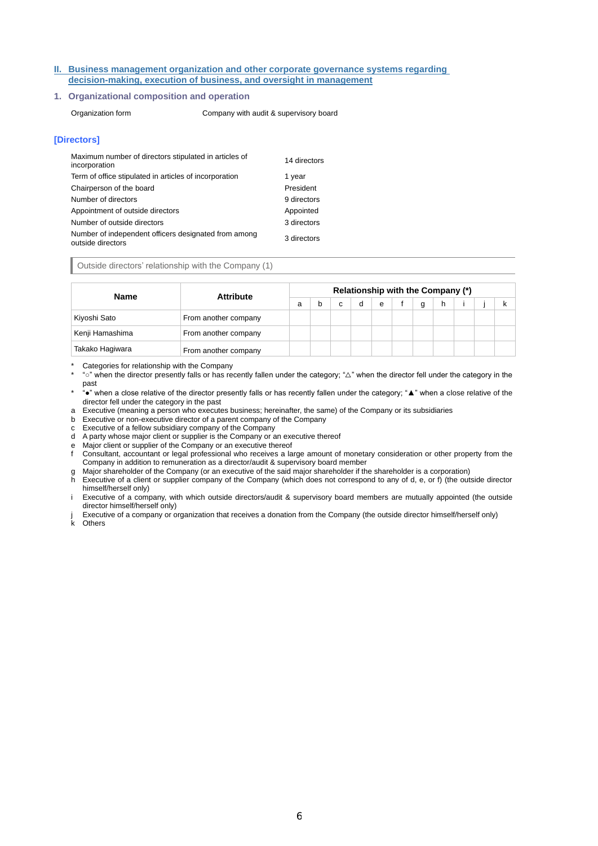## **II. Business management organization and other corporate governance systems regarding decision-making, execution of business, and oversight in management**

## **1. Organizational composition and operation**

Organization form Company with audit & supervisory board

## **[Directors]**

| Maximum number of directors stipulated in articles of<br>incorporation    | 14 directors |
|---------------------------------------------------------------------------|--------------|
| Term of office stipulated in articles of incorporation                    | 1 year       |
| Chairperson of the board                                                  | President    |
| Number of directors                                                       | 9 directors  |
| Appointment of outside directors                                          | Appointed    |
| Number of outside directors                                               | 3 directors  |
| Number of independent officers designated from among<br>outside directors | 3 directors  |

## Outside directors' relationship with the Company (1)

| <b>Name</b>     | <b>Attribute</b>     | Relationship with the Company (*) |   |   |  |   |  |   |  |  |  |  |
|-----------------|----------------------|-----------------------------------|---|---|--|---|--|---|--|--|--|--|
|                 |                      | a                                 | b | c |  | e |  | g |  |  |  |  |
| Kiyoshi Sato    | From another company |                                   |   |   |  |   |  |   |  |  |  |  |
| Kenji Hamashima | From another company |                                   |   |   |  |   |  |   |  |  |  |  |
| Takako Hagiwara | From another company |                                   |   |   |  |   |  |   |  |  |  |  |

Categories for relationship with the Company

\* "○" when the director presently falls or has recently fallen under the category; "△" when the director fell under the category in the past

\* "●" when a close relative of the director presently falls or has recently fallen under the category; "▲" when a close relative of the director fell under the category in the past

a Executive (meaning a person who executes business; hereinafter, the same) of the Company or its subsidiaries

b Executive or non-executive director of a parent company of the Company

c Executive of a fellow subsidiary company of the Company

d A party whose major client or supplier is the Company or an executive thereof

e Major client or supplier of the Company or an executive thereof<br>f Consultant, accountant or legal professional who receives a la

f Consultant, accountant or legal professional who receives a large amount of monetary consideration or other property from the Company in addition to remuneration as a director/audit & supervisory board member

g Major shareholder of the Company (or an executive of the said major shareholder if the shareholder is a corporation)

h Executive of a client or supplier company of the Company (which does not correspond to any of d, e, or f) (the outside director himself/herself only)

i Executive of a company, with which outside directors/audit & supervisory board members are mutually appointed (the outside director himself/herself only)

Executive of a company or organization that receives a donation from the Company (the outside director himself/herself only)

k Others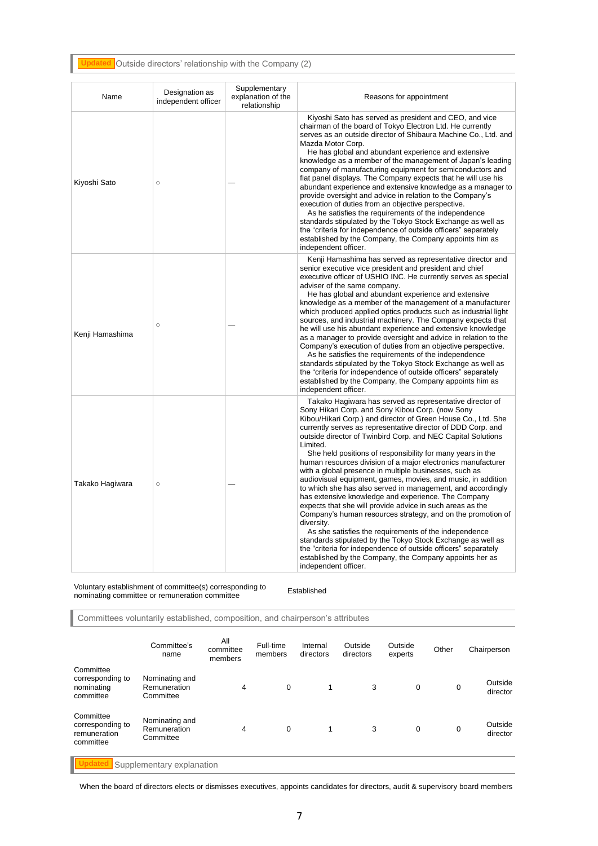#### Outside directors' relationship with the Company (2) **Updated**

| Name            | Designation as<br>independent officer | Supplementary<br>explanation of the<br>relationship | Reasons for appointment                                                                                                                                                                                                                                                                                                                                                                                                                                                                                                                                                                                                                                                                                                                                                                                                                                                                                                                                                                                                                                                                                                        |
|-----------------|---------------------------------------|-----------------------------------------------------|--------------------------------------------------------------------------------------------------------------------------------------------------------------------------------------------------------------------------------------------------------------------------------------------------------------------------------------------------------------------------------------------------------------------------------------------------------------------------------------------------------------------------------------------------------------------------------------------------------------------------------------------------------------------------------------------------------------------------------------------------------------------------------------------------------------------------------------------------------------------------------------------------------------------------------------------------------------------------------------------------------------------------------------------------------------------------------------------------------------------------------|
| Kiyoshi Sato    | $\circ$                               |                                                     | Kiyoshi Sato has served as president and CEO, and vice<br>chairman of the board of Tokyo Electron Ltd. He currently<br>serves as an outside director of Shibaura Machine Co., Ltd. and<br>Mazda Motor Corp.<br>He has global and abundant experience and extensive<br>knowledge as a member of the management of Japan's leading<br>company of manufacturing equipment for semiconductors and<br>flat panel displays. The Company expects that he will use his<br>abundant experience and extensive knowledge as a manager to<br>provide oversight and advice in relation to the Company's<br>execution of duties from an objective perspective.<br>As he satisfies the requirements of the independence<br>standards stipulated by the Tokyo Stock Exchange as well as<br>the "criteria for independence of outside officers" separately<br>established by the Company, the Company appoints him as<br>independent officer.                                                                                                                                                                                                   |
| Kenji Hamashima | $\circ$                               |                                                     | Kenji Hamashima has served as representative director and<br>senior executive vice president and president and chief<br>executive officer of USHIO INC. He currently serves as special<br>adviser of the same company.<br>He has global and abundant experience and extensive<br>knowledge as a member of the management of a manufacturer<br>which produced applied optics products such as industrial light<br>sources, and industrial machinery. The Company expects that<br>he will use his abundant experience and extensive knowledge<br>as a manager to provide oversight and advice in relation to the<br>Company's execution of duties from an objective perspective.<br>As he satisfies the requirements of the independence<br>standards stipulated by the Tokyo Stock Exchange as well as<br>the "criteria for independence of outside officers" separately<br>established by the Company, the Company appoints him as<br>independent officer.                                                                                                                                                                     |
| Takako Hagiwara | $\circ$                               |                                                     | Takako Hagiwara has served as representative director of<br>Sony Hikari Corp. and Sony Kibou Corp. (now Sony<br>Kibou/Hikari Corp.) and director of Green House Co., Ltd. She<br>currently serves as representative director of DDD Corp. and<br>outside director of Twinbird Corp. and NEC Capital Solutions<br>Limited.<br>She held positions of responsibility for many years in the<br>human resources division of a major electronics manufacturer<br>with a global presence in multiple businesses, such as<br>audiovisual equipment, games, movies, and music, in addition<br>to which she has also served in management, and accordingly<br>has extensive knowledge and experience. The Company<br>expects that she will provide advice in such areas as the<br>Company's human resources strategy, and on the promotion of<br>diversity.<br>As she satisfies the requirements of the independence<br>standards stipulated by the Tokyo Stock Exchange as well as<br>the "criteria for independence of outside officers" separately<br>established by the Company, the Company appoints her as<br>independent officer. |

Voluntary establishment of committee(s) corresponding to nominating committee or remuneration committee Established

Committees voluntarily established, composition, and chairperson's attributes

|                                                            | Committee's<br>name                         | All<br>committee<br>members | Full-time<br>members | Internal<br>directors | Outside<br>directors | Outside<br>experts | Other | Chairperson         |  |
|------------------------------------------------------------|---------------------------------------------|-----------------------------|----------------------|-----------------------|----------------------|--------------------|-------|---------------------|--|
| Committee<br>corresponding to<br>nominating<br>committee   | Nominating and<br>Remuneration<br>Committee | 4                           | $\mathbf 0$          | 1                     | 3                    | 0                  | 0     | Outside<br>director |  |
| Committee<br>corresponding to<br>remuneration<br>committee | Nominating and<br>Remuneration<br>Committee | 4                           | $\mathbf 0$          | 1                     | 3                    | 0                  | 0     | Outside<br>director |  |
| Supplementary explanation                                  |                                             |                             |                      |                       |                      |                    |       |                     |  |

When the board of directors elects or dismisses executives, appoints candidates for directors, audit & supervisory board members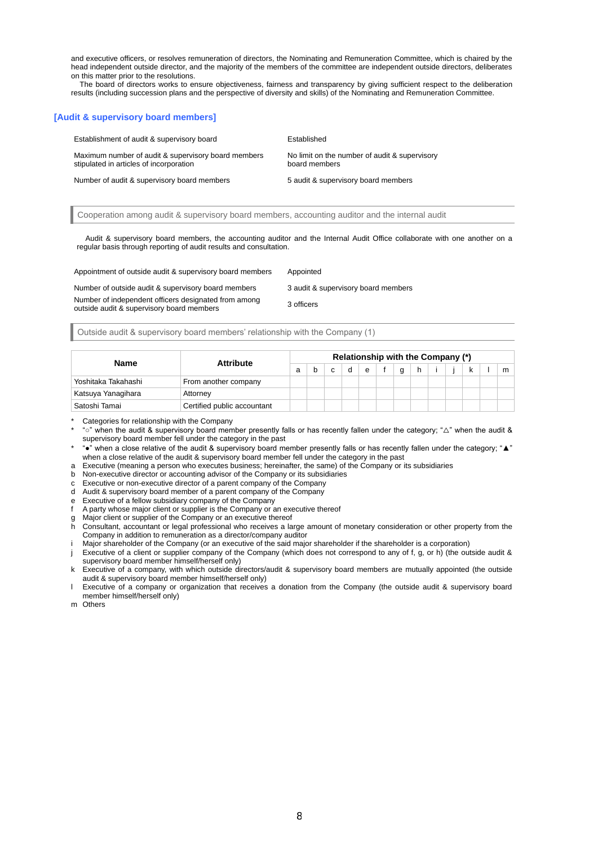and executive officers, or resolves remuneration of directors, the Nominating and Remuneration Committee, which is chaired by the head independent outside director, and the majority of the members of the committee are independent outside directors, deliberates on this matter prior to the resolutions.

The board of directors works to ensure objectiveness, fairness and transparency by giving sufficient respect to the deliberation results (including succession plans and the perspective of diversity and skills) of the Nominating and Remuneration Committee.

## **[Audit & supervisory board members]**

Establishment of audit & supervisory board Established Maximum number of audit & supervisory board members stipulated in articles of incorporation No limit on the number of audit & supervisory board members Number of audit & supervisory board members 5 audit & supervisory board members

Cooperation among audit & supervisory board members, accounting auditor and the internal audit

Audit & supervisory board members, the accounting auditor and the Internal Audit Office collaborate with one another on a regular basis through reporting of audit results and consultation.

Appointment of outside audit & supervisory board members Appointed

Number of independent officers designated from among Number of independent officers designated from among<br>outside audit & supervisory board members

Number of outside audit & supervisory board members 3 audit & supervisory board members

Outside audit & supervisory board members' relationship with the Company (1)

| Name                | <b>Attribute</b>            |  |   |   |   |          |  | Relationship with the Company (*) |  |   |
|---------------------|-----------------------------|--|---|---|---|----------|--|-----------------------------------|--|---|
|                     |                             |  | c | d | e | $\alpha$ |  |                                   |  | m |
| Yoshitaka Takahashi | From another company        |  |   |   |   |          |  |                                   |  |   |
| Katsuya Yanagihara  | Attorney                    |  |   |   |   |          |  |                                   |  |   |
| Satoshi Tamai       | Certified public accountant |  |   |   |   |          |  |                                   |  |   |

Categories for relationship with the Company

\* "○" when the audit & supervisory board member presently falls or has recently fallen under the category; "△" when the audit & supervisory board member fell under the category in the past

\* "●" when a close relative of the audit & supervisory board member presently falls or has recently fallen under the category; "▲" when a close relative of the audit & supervisory board member fell under the category in the past

a Executive (meaning a person who executes business; hereinafter, the same) of the Company or its subsidiaries

b Non-executive director or accounting advisor of the Company or its subsidiaries

c Executive or non-executive director of a parent company of the Company

d Audit & supervisory board member of a parent company of the Company

e Executive of a fellow subsidiary company of the Company f A party whose major client or supplier is the Company or an executive thereof

Major client or supplier of the Company or an executive thereof

h Consultant, accountant or legal professional who receives a large amount of monetary consideration or other property from the Company in addition to remuneration as a director/company auditor

Major shareholder of the Company (or an executive of the said major shareholder if the shareholder is a corporation)

j Executive of a client or supplier company of the Company (which does not correspond to any of f, g, or h) (the outside audit & supervisory board member himself/herself only)

k Executive of a company, with which outside directors/audit & supervisory board members are mutually appointed (the outside audit & supervisory board member himself/herself only)

Executive of a company or organization that receives a donation from the Company (the outside audit & supervisory board member himself/herself only)

m Others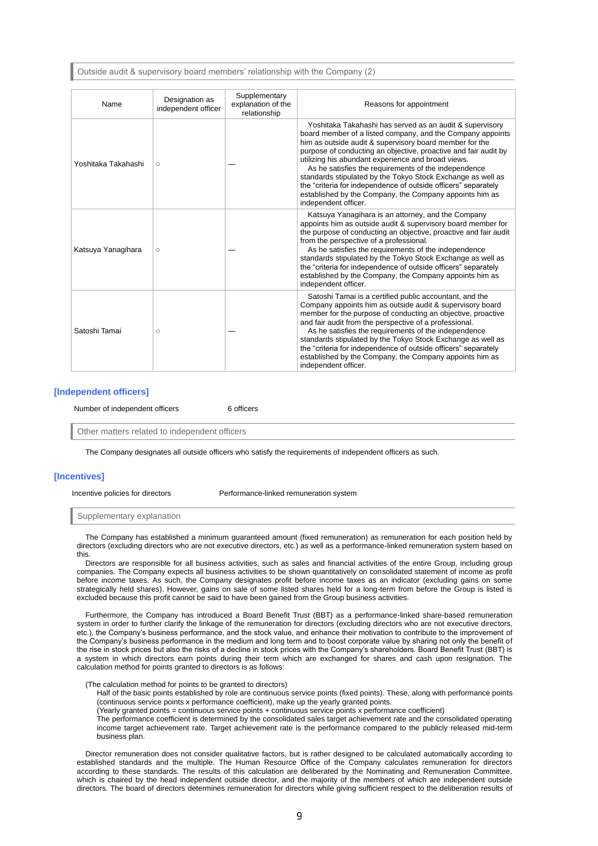Outside audit & supervisory board members' relationship with the Company (2)

| Name                | Designation as<br>independent officer | Supplementary<br>explanation of the<br>relationship | Reasons for appointment                                                                                                                                                                                                                                                                                                                                                                                                                                                                                                                                                                |
|---------------------|---------------------------------------|-----------------------------------------------------|----------------------------------------------------------------------------------------------------------------------------------------------------------------------------------------------------------------------------------------------------------------------------------------------------------------------------------------------------------------------------------------------------------------------------------------------------------------------------------------------------------------------------------------------------------------------------------------|
| Yoshitaka Takahashi | $\circ$                               |                                                     | Yoshitaka Takahashi has served as an audit & supervisory<br>board member of a listed company, and the Company appoints<br>him as outside audit & supervisory board member for the<br>purpose of conducting an objective, proactive and fair audit by<br>utilizing his abundant experience and broad views.<br>As he satisfies the requirements of the independence<br>standards stipulated by the Tokyo Stock Exchange as well as<br>the "criteria for independence of outside officers" separately<br>established by the Company, the Company appoints him as<br>independent officer. |
| Katsuya Yanagihara  | $\circ$                               |                                                     | Katsuya Yanagihara is an attorney, and the Company<br>appoints him as outside audit & supervisory board member for<br>the purpose of conducting an objective, proactive and fair audit<br>from the perspective of a professional.<br>As he satisfies the requirements of the independence<br>standards stipulated by the Tokyo Stock Exchange as well as<br>the "criteria for independence of outside officers" separately<br>established by the Company, the Company appoints him as<br>independent officer.                                                                          |
| Satoshi Tamai       | $\circ$                               |                                                     | Satoshi Tamai is a certified public accountant, and the<br>Company appoints him as outside audit & supervisory board<br>member for the purpose of conducting an objective, proactive<br>and fair audit from the perspective of a professional.<br>As he satisfies the requirements of the independence<br>standards stipulated by the Tokyo Stock Exchange as well as<br>the "criteria for independence of outside officers" separately<br>established by the Company, the Company appoints him as<br>independent officer.                                                             |

## **[Independent officers]**

Number of independent officers 6 officers

Other matters related to independent officers

The Company designates all outside officers who satisfy the requirements of independent officers as such.

## **[Incentives]**

Incentive policies for directors Performance-linked remuneration system

Supplementary explanation

The Company has established a minimum guaranteed amount (fixed remuneration) as remuneration for each position held by directors (excluding directors who are not executive directors, etc.) as well as a performance-linked remuneration system based on this.

Directors are responsible for all business activities, such as sales and financial activities of the entire Group, including group companies. The Company expects all business activities to be shown quantitatively on consolidated statement of income as profit before income taxes. As such, the Company designates profit before income taxes as an indicator (excluding gains on some strategically held shares). However, gains on sale of some listed shares held for a long-term from before the Group is listed is excluded because this profit cannot be said to have been gained from the Group business activities.

Furthermore, the Company has introduced a Board Benefit Trust (BBT) as a performance-linked share-based remuneration system in order to further clarify the linkage of the remuneration for directors (excluding directors who are not executive directors, etc.), the Company's business performance, and the stock value, and enhance their motivation to contribute to the improvement of the Company's business performance in the medium and long term and to boost corporate value by sharing not only the benefit of the rise in stock prices but also the risks of a decline in stock prices with the Company's shareholders. Board Benefit Trust (BBT) is a system in which directors earn points during their term which are exchanged for shares and cash upon resignation. The calculation method for points granted to directors is as follows:

(The calculation method for points to be granted to directors)

Half of the basic points established by role are continuous service points (fixed points). These, along with performance points (continuous service points x performance coefficient), make up the yearly granted points.

(Yearly granted points = continuous service points + continuous service points x performance coefficient)

The performance coefficient is determined by the consolidated sales target achievement rate and the consolidated operating income target achievement rate. Target achievement rate is the performance compared to the publicly released mid-term business plan.

Director remuneration does not consider qualitative factors, but is rather designed to be calculated automatically according to established standards and the multiple. The Human Resource Office of the Company calculates remuneration for directors according to these standards. The results of this calculation are deliberated by the Nominating and Remuneration Committee, which is chaired by the head independent outside director, and the majority of the members of which are independent outside directors. The board of directors determines remuneration for directors while giving sufficient respect to the deliberation results of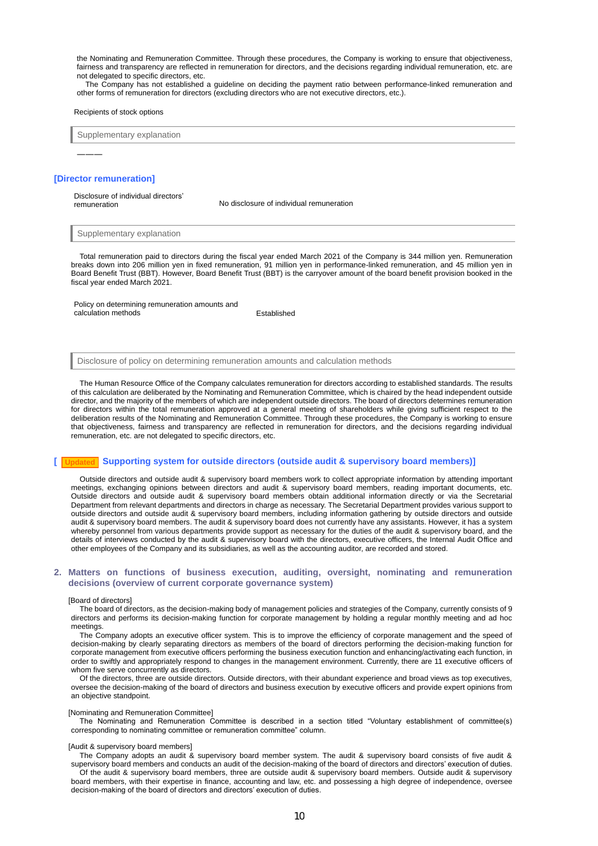the Nominating and Remuneration Committee. Through these procedures, the Company is working to ensure that objectiveness, fairness and transparency are reflected in remuneration for directors, and the decisions regarding individual remuneration, etc. are not delegated to specific directors, etc.

The Company has not established a guideline on deciding the payment ratio between performance-linked remuneration and other forms of remuneration for directors (excluding directors who are not executive directors, etc.).

#### Recipients of stock options

Supplementary explanation

#### **[Director remuneration]**

―――

Disclosure of individual directors' remuneration No disclosure of individual remuneration

Supplementary explanation

Total remuneration paid to directors during the fiscal year ended March 2021 of the Company is 344 million yen. Remuneration breaks down into 206 million yen in fixed remuneration, 91 million yen in performance-linked remuneration, and 45 million yen in Board Benefit Trust (BBT). However, Board Benefit Trust (BBT) is the carryover amount of the board benefit provision booked in the fiscal year ended March 2021.

Policy on determining remuneration amounts and calculation methods **Established** 

Disclosure of policy on determining remuneration amounts and calculation methods

The Human Resource Office of the Company calculates remuneration for directors according to established standards. The results of this calculation are deliberated by the Nominating and Remuneration Committee, which is chaired by the head independent outside director, and the majority of the members of which are independent outside directors. The board of directors determines remuneration for directors within the total remuneration approved at a general meeting of shareholders while giving sufficient respect to the deliberation results of the Nominating and Remuneration Committee. Through these procedures, the Company is working to ensure that objectiveness, fairness and transparency are reflected in remuneration for directors, and the decisions regarding individual remuneration, etc. are not delegated to specific directors, etc.

## **[ Supporting system for outside directors (outside audit & supervisory board members)] Updated**

Outside directors and outside audit & supervisory board members work to collect appropriate information by attending important meetings, exchanging opinions between directors and audit & supervisory board members, reading important documents, etc. Outside directors and outside audit & supervisory board members obtain additional information directly or via the Secretarial Department from relevant departments and directors in charge as necessary. The Secretarial Department provides various support to outside directors and outside audit & supervisory board members, including information gathering by outside directors and outside audit & supervisory board members. The audit & supervisory board does not currently have any assistants. However, it has a system whereby personnel from various departments provide support as necessary for the duties of the audit & supervisory board, and the details of interviews conducted by the audit & supervisory board with the directors, executive officers, the Internal Audit Office and other employees of the Company and its subsidiaries, as well as the accounting auditor, are recorded and stored.

### **2. Matters on functions of business execution, auditing, oversight, nominating and remuneration decisions (overview of current corporate governance system)**

### [Board of directors]

The board of directors, as the decision-making body of management policies and strategies of the Company, currently consists of 9 directors and performs its decision-making function for corporate management by holding a regular monthly meeting and ad hoc meetings.

The Company adopts an executive officer system. This is to improve the efficiency of corporate management and the speed of decision-making by clearly separating directors as members of the board of directors performing the decision-making function for corporate management from executive officers performing the business execution function and enhancing/activating each function, in order to swiftly and appropriately respond to changes in the management environment. Currently, there are 11 executive officers of whom five serve concurrently as directors.

Of the directors, three are outside directors. Outside directors, with their abundant experience and broad views as top executives, oversee the decision-making of the board of directors and business execution by executive officers and provide expert opinions from an objective standpoint.

#### [Nominating and Remuneration Committee]

The Nominating and Remuneration Committee is described in a section titled "Voluntary establishment of committee(s) corresponding to nominating committee or remuneration committee" column.

#### [Audit & supervisory board members]

The Company adopts an audit & supervisory board member system. The audit & supervisory board consists of five audit & supervisory board members and conducts an audit of the decision-making of the board of directors and directors' execution of duties. Of the audit & supervisory board members, three are outside audit & supervisory board members. Outside audit & supervisory board members, with their expertise in finance, accounting and law, etc. and possessing a high degree of independence, oversee decision-making of the board of directors and directors' execution of duties.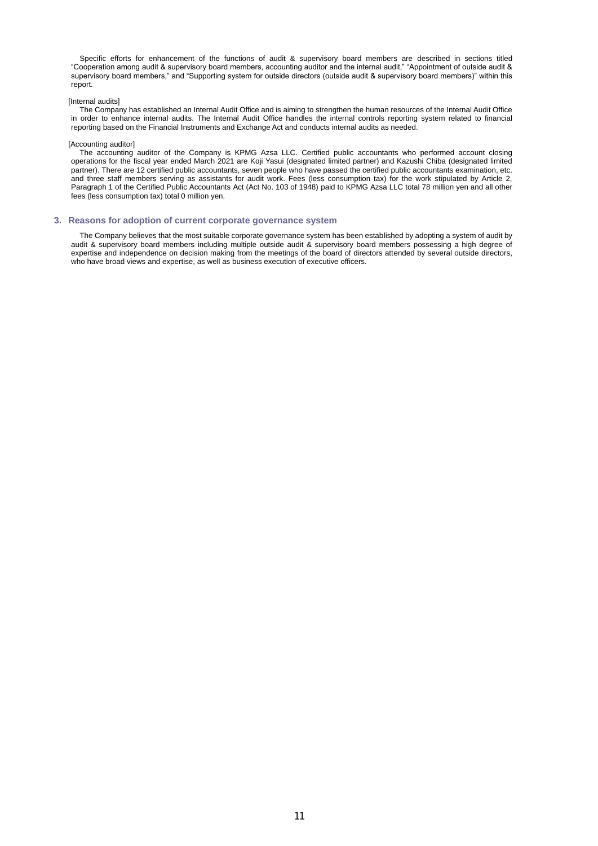Specific efforts for enhancement of the functions of audit & supervisory board members are described in sections titled "Cooperation among audit & supervisory board members, accounting auditor and the internal audit," "Appointment of outside audit & supervisory board members," and "Supporting system for outside directors (outside audit & supervisory board members)" within this report.

#### [Internal audits]

The Company has established an Internal Audit Office and is aiming to strengthen the human resources of the Internal Audit Office in order to enhance internal audits. The Internal Audit Office handles the internal controls reporting system related to financial reporting based on the Financial Instruments and Exchange Act and conducts internal audits as needed.

#### [Accounting auditor]

The accounting auditor of the Company is KPMG Azsa LLC. Certified public accountants who performed account closing operations for the fiscal year ended March 2021 are Koji Yasui (designated limited partner) and Kazushi Chiba (designated limited partner). There are 12 certified public accountants, seven people who have passed the certified public accountants examination, etc. and three staff members serving as assistants for audit work. Fees (less consumption tax) for the work stipulated by Article 2, Paragraph 1 of the Certified Public Accountants Act (Act No. 103 of 1948) paid to KPMG Azsa LLC total 78 million yen and all other fees (less consumption tax) total 0 million yen.

### **3. Reasons for adoption of current corporate governance system**

The Company believes that the most suitable corporate governance system has been established by adopting a system of audit by audit & supervisory board members including multiple outside audit & supervisory board members possessing a high degree of expertise and independence on decision making from the meetings of the board of directors attended by several outside directors, who have broad views and expertise, as well as business execution of executive officers.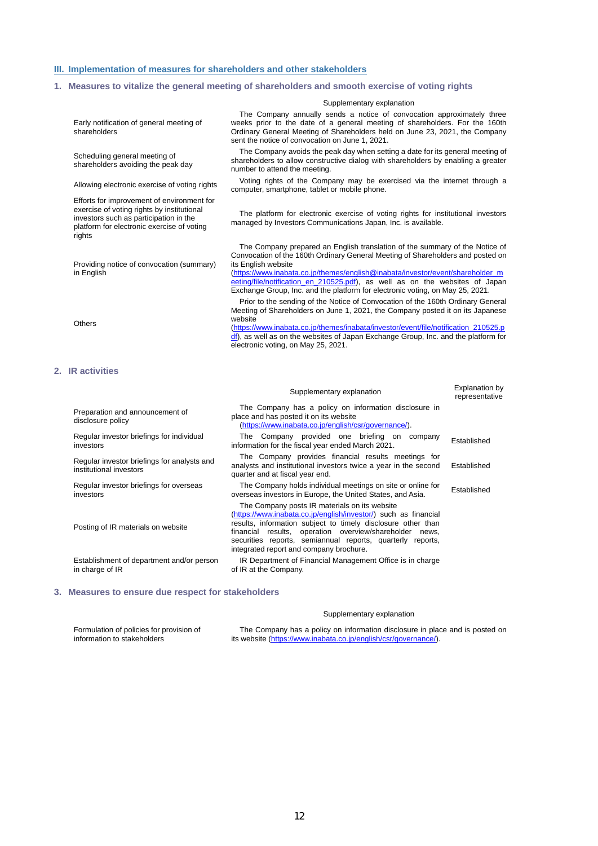## **III. Implementation of measures for shareholders and other stakeholders**

## **1. Measures to vitalize the general meeting of shareholders and smooth exercise of voting rights**

|                                                                                                                                                                                            | Supplementary explanation                                                                                                                                                                                                                                                                                                                                                                                                                |                                         |  |  |  |  |  |
|--------------------------------------------------------------------------------------------------------------------------------------------------------------------------------------------|------------------------------------------------------------------------------------------------------------------------------------------------------------------------------------------------------------------------------------------------------------------------------------------------------------------------------------------------------------------------------------------------------------------------------------------|-----------------------------------------|--|--|--|--|--|
| Early notification of general meeting of<br>shareholders                                                                                                                                   | The Company annually sends a notice of convocation approximately three<br>weeks prior to the date of a general meeting of shareholders. For the 160th<br>Ordinary General Meeting of Shareholders held on June 23, 2021, the Company<br>sent the notice of convocation on June 1, 2021.                                                                                                                                                  |                                         |  |  |  |  |  |
| Scheduling general meeting of<br>shareholders avoiding the peak day                                                                                                                        | The Company avoids the peak day when setting a date for its general meeting of<br>shareholders to allow constructive dialog with shareholders by enabling a greater<br>number to attend the meeting.                                                                                                                                                                                                                                     |                                         |  |  |  |  |  |
| Allowing electronic exercise of voting rights                                                                                                                                              | Voting rights of the Company may be exercised via the internet through a<br>computer, smartphone, tablet or mobile phone.                                                                                                                                                                                                                                                                                                                |                                         |  |  |  |  |  |
| Efforts for improvement of environment for<br>exercise of voting rights by institutional<br>investors such as participation in the<br>platform for electronic exercise of voting<br>rights | The platform for electronic exercise of voting rights for institutional investors<br>managed by Investors Communications Japan, Inc. is available.                                                                                                                                                                                                                                                                                       |                                         |  |  |  |  |  |
| Providing notice of convocation (summary)<br>in English                                                                                                                                    | The Company prepared an English translation of the summary of the Notice of<br>Convocation of the 160th Ordinary General Meeting of Shareholders and posted on<br>its English website<br>(https://www.inabata.co.jp/themes/english@inabata/investor/event/shareholder_m<br>eeting/file/notification_en_210525.pdf), as well as on the websites of Japan<br>Exchange Group, Inc. and the platform for electronic voting, on May 25, 2021. |                                         |  |  |  |  |  |
| <b>Others</b>                                                                                                                                                                              | Prior to the sending of the Notice of Convocation of the 160th Ordinary General<br>Meeting of Shareholders on June 1, 2021, the Company posted it on its Japanese<br>website<br>(https://www.inabata.co.jp/themes/inabata/investor/event/file/notification_210525.p<br>df), as well as on the websites of Japan Exchange Group, Inc. and the platform for<br>electronic voting, on May 25, 2021.                                         |                                         |  |  |  |  |  |
| 2. IR activities                                                                                                                                                                           |                                                                                                                                                                                                                                                                                                                                                                                                                                          |                                         |  |  |  |  |  |
|                                                                                                                                                                                            | Supplementary explanation                                                                                                                                                                                                                                                                                                                                                                                                                | <b>Explanation by</b><br>representative |  |  |  |  |  |
| Preparation and announcement of<br>disclosure policy                                                                                                                                       | The Company has a policy on information disclosure in<br>place and has posted it on its website<br>(https://www.inabata.co.jp/english/csr/governance/).                                                                                                                                                                                                                                                                                  |                                         |  |  |  |  |  |
| Regular investor briefings for individual<br>investors                                                                                                                                     | The Company provided one briefing on company<br>information for the fiscal year ended March 2021.                                                                                                                                                                                                                                                                                                                                        | Established                             |  |  |  |  |  |
| Regular investor briefings for analysts and<br>institutional investors                                                                                                                     | The Company provides financial results meetings for<br>analysts and institutional investors twice a year in the second<br>quarter and at fiscal year end.                                                                                                                                                                                                                                                                                | Established                             |  |  |  |  |  |
| Regular investor briefings for overseas<br>investors                                                                                                                                       | The Company holds individual meetings on site or online for<br>overseas investors in Europe, the United States, and Asia.                                                                                                                                                                                                                                                                                                                | Established                             |  |  |  |  |  |
| Posting of IR materials on website                                                                                                                                                         | The Company posts IR materials on its website<br>(https://www.inabata.co.jp/english/investor/) such as financial<br>results, information subject to timely disclosure other than<br>financial results, operation overview/shareholder news,<br>securities reports, semiannual reports, quarterly reports,<br>integrated report and company brochure.                                                                                     |                                         |  |  |  |  |  |
| Establishment of department and/or person<br>in charge of IR                                                                                                                               | IR Department of Financial Management Office is in charge<br>of IR at the Company.                                                                                                                                                                                                                                                                                                                                                       |                                         |  |  |  |  |  |

## **3. Measures to ensure due respect for stakeholders**

## Supplementary explanation

Formulation of policies for provision of information to stakeholders

The Company has a policy on information disclosure in place and is posted on its website [\(https://www.inabata.co.jp/english/csr/governance/\)](https://www.inabata.co.jp/english/csr/governance/).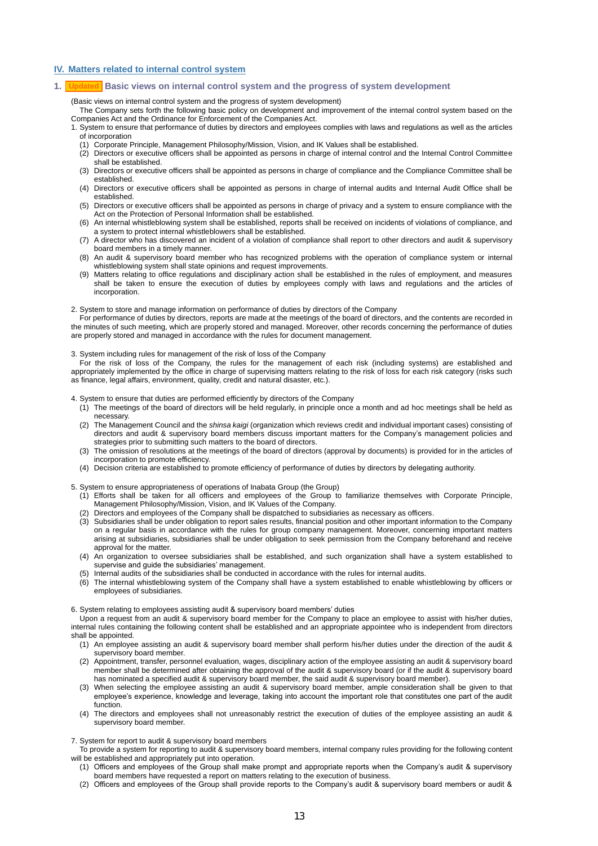## **IV. Matters related to internal control system**

## **1. Basic views on internal control system and the progress of system development Updated**

(Basic views on internal control system and the progress of system development)

The Company sets forth the following basic policy on development and improvement of the internal control system based on the Companies Act and the Ordinance for Enforcement of the Companies Act.

- 1. System to ensure that performance of duties by directors and employees complies with laws and regulations as well as the articles of incorporation
	- (1) Corporate Principle, Management Philosophy/Mission, Vision, and IK Values shall be established.
	- (2) Directors or executive officers shall be appointed as persons in charge of internal control and the Internal Control Committee shall be established.
	- (3) Directors or executive officers shall be appointed as persons in charge of compliance and the Compliance Committee shall be established.
	- (4) Directors or executive officers shall be appointed as persons in charge of internal audits and Internal Audit Office shall be established.
	- (5) Directors or executive officers shall be appointed as persons in charge of privacy and a system to ensure compliance with the Act on the Protection of Personal Information shall be established.
	- (6) An internal whistleblowing system shall be established, reports shall be received on incidents of violations of compliance, and a system to protect internal whistleblowers shall be established.
	- (7) A director who has discovered an incident of a violation of compliance shall report to other directors and audit & supervisory board members in a timely manner.
	- (8) An audit & supervisory board member who has recognized problems with the operation of compliance system or internal whistleblowing system shall state opinions and request improvements.
	- (9) Matters relating to office regulations and disciplinary action shall be established in the rules of employment, and measures shall be taken to ensure the execution of duties by employees comply with laws and regulations and the articles of incorporation.
- 2. System to store and manage information on performance of duties by directors of the Company

For performance of duties by directors, reports are made at the meetings of the board of directors, and the contents are recorded in the minutes of such meeting, which are properly stored and managed. Moreover, other records concerning the performance of duties are properly stored and managed in accordance with the rules for document management.

3. System including rules for management of the risk of loss of the Company

For the risk of loss of the Company, the rules for the management of each risk (including systems) are established and appropriately implemented by the office in charge of supervising matters relating to the risk of loss for each risk category (risks such as finance, legal affairs, environment, quality, credit and natural disaster, etc.).

4. System to ensure that duties are performed efficiently by directors of the Company

- (1) The meetings of the board of directors will be held regularly, in principle once a month and ad hoc meetings shall be held as necessary.
- (2) The Management Council and the *shinsa kaigi* (organization which reviews credit and individual important cases) consisting of directors and audit & supervisory board members discuss important matters for the Company's management policies and strategies prior to submitting such matters to the board of directors.
- (3) The omission of resolutions at the meetings of the board of directors (approval by documents) is provided for in the articles of incorporation to promote efficiency.
- (4) Decision criteria are established to promote efficiency of performance of duties by directors by delegating authority.
- 5. System to ensure appropriateness of operations of Inabata Group (the Group)
	- (1) Efforts shall be taken for all officers and employees of the Group to familiarize themselves with Corporate Principle, Management Philosophy/Mission, Vision, and IK Values of the Company.
	- (2) Directors and employees of the Company shall be dispatched to subsidiaries as necessary as officers.
	- (3) Subsidiaries shall be under obligation to report sales results, financial position and other important information to the Company on a regular basis in accordance with the rules for group company management. Moreover, concerning important matters arising at subsidiaries, subsidiaries shall be under obligation to seek permission from the Company beforehand and receive approval for the matter.
	- (4) An organization to oversee subsidiaries shall be established, and such organization shall have a system established to supervise and quide the subsidiaries' management.
	- (5) Internal audits of the subsidiaries shall be conducted in accordance with the rules for internal audits.
	- (6) The internal whistleblowing system of the Company shall have a system established to enable whistleblowing by officers or employees of subsidiaries.

6. System relating to employees assisting audit & supervisory board members' duties

Upon a request from an audit & supervisory board member for the Company to place an employee to assist with his/her duties, internal rules containing the following content shall be established and an appropriate appointee who is independent from directors shall be appointed.

- (1) An employee assisting an audit & supervisory board member shall perform his/her duties under the direction of the audit & supervisory board member.
- (2) Appointment, transfer, personnel evaluation, wages, disciplinary action of the employee assisting an audit & supervisory board member shall be determined after obtaining the approval of the audit & supervisory board (or if the audit & supervisory board has nominated a specified audit & supervisory board member, the said audit & supervisory board member).
- (3) When selecting the employee assisting an audit & supervisory board member, ample consideration shall be given to that employee's experience, knowledge and leverage, taking into account the important role that constitutes one part of the audit function.
- (4) The directors and employees shall not unreasonably restrict the execution of duties of the employee assisting an audit & supervisory board member.

7. System for report to audit & supervisory board members

- To provide a system for reporting to audit & supervisory board members, internal company rules providing for the following content will be established and appropriately put into operation. (1) Officers and employees of the Group shall make prompt and appropriate reports when the Company's audit & supervisory
	- board members have requested a report on matters relating to the execution of business.
	- (2) Officers and employees of the Group shall provide reports to the Company's audit & supervisory board members or audit &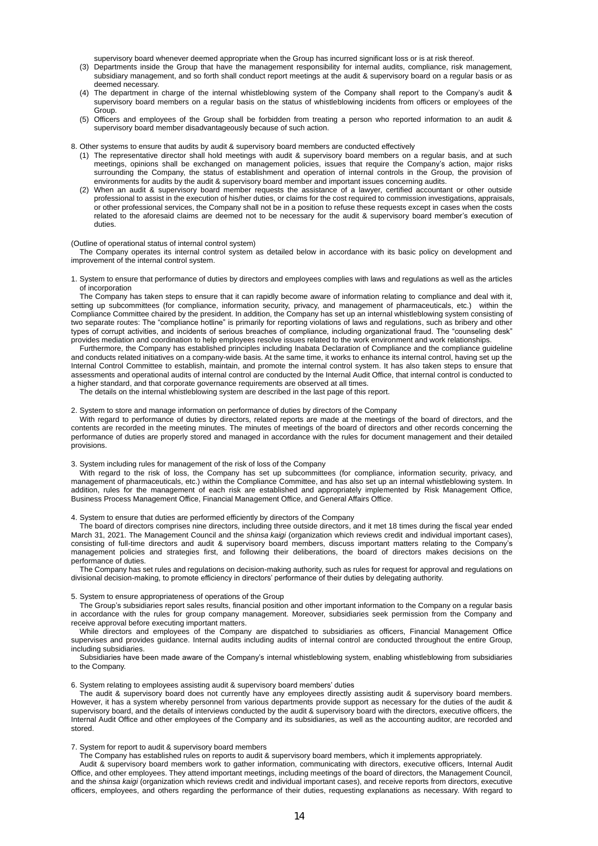supervisory board whenever deemed appropriate when the Group has incurred significant loss or is at risk thereof.

- (3) Departments inside the Group that have the management responsibility for internal audits, compliance, risk management, subsidiary management, and so forth shall conduct report meetings at the audit & supervisory board on a regular basis or as deemed necessary.
- (4) The department in charge of the internal whistleblowing system of the Company shall report to the Company's audit & supervisory board members on a regular basis on the status of whistleblowing incidents from officers or employees of the Group.
- (5) Officers and employees of the Group shall be forbidden from treating a person who reported information to an audit & supervisory board member disadvantageously because of such action.

8. Other systems to ensure that audits by audit & supervisory board members are conducted effectively

- (1) The representative director shall hold meetings with audit & supervisory board members on a regular basis, and at such meetings, opinions shall be exchanged on management policies, issues that require the Company's action, major risks surrounding the Company, the status of establishment and operation of internal controls in the Group, the provision of environments for audits by the audit & supervisory board member and important issues concerning audits.
- (2) When an audit & supervisory board member requests the assistance of a lawyer, certified accountant or other outside professional to assist in the execution of his/her duties, or claims for the cost required to commission investigations, appraisals, or other professional services, the Company shall not be in a position to refuse these requests except in cases when the costs related to the aforesaid claims are deemed not to be necessary for the audit & supervisory board member's execution of duties.

#### (Outline of operational status of internal control system)

The Company operates its internal control system as detailed below in accordance with its basic policy on development and improvement of the internal control system.

1. System to ensure that performance of duties by directors and employees complies with laws and regulations as well as the articles of incorporation

The Company has taken steps to ensure that it can rapidly become aware of information relating to compliance and deal with it. setting up subcommittees (for compliance, information security, privacy, and management of pharmaceuticals, etc.) within the Compliance Committee chaired by the president. In addition, the Company has set up an internal whistleblowing system consisting of two separate routes: The "compliance hotline" is primarily for reporting violations of laws and regulations, such as bribery and other types of corrupt activities, and incidents of serious breaches of compliance, including organizational fraud. The "counseling desk" provides mediation and coordination to help employees resolve issues related to the work environment and work relationships.

Furthermore, the Company has established principles including Inabata Declaration of Compliance and the compliance guideline and conducts related initiatives on a company-wide basis. At the same time, it works to enhance its internal control, having set up the Internal Control Committee to establish, maintain, and promote the internal control system. It has also taken steps to ensure that assessments and operational audits of internal control are conducted by the Internal Audit Office, that internal control is conducted to a higher standard, and that corporate governance requirements are observed at all times.

The details on the internal whistleblowing system are described in the last page of this report.

### 2. System to store and manage information on performance of duties by directors of the Company

With regard to performance of duties by directors, related reports are made at the meetings of the board of directors, and the contents are recorded in the meeting minutes. The minutes of meetings of the board of directors and other records concerning the performance of duties are properly stored and managed in accordance with the rules for document management and their detailed provisions.

#### 3. System including rules for management of the risk of loss of the Company

With regard to the risk of loss, the Company has set up subcommittees (for compliance, information security, privacy, and management of pharmaceuticals, etc.) within the Compliance Committee, and has also set up an internal whistleblowing system. In addition, rules for the management of each risk are established and appropriately implemented by Risk Management Office, Business Process Management Office, Financial Management Office, and General Affairs Office.

4. System to ensure that duties are performed efficiently by directors of the Company

The board of directors comprises nine directors, including three outside directors, and it met 18 times during the fiscal year ended March 31, 2021. The Management Council and the *shinsa kaigi* (organization which reviews credit and individual important cases), consisting of full-time directors and audit & supervisory board members, discuss important matters relating to the Company's management policies and strategies first, and following their deliberations, the board of directors makes decisions on the performance of duties.

The Company has set rules and regulations on decision-making authority, such as rules for request for approval and regulations on divisional decision-making, to promote efficiency in directors' performance of their duties by delegating authority.

#### 5. System to ensure appropriateness of operations of the Group

The Group's subsidiaries report sales results, financial position and other important information to the Company on a regular basis in accordance with the rules for group company management. Moreover, subsidiaries seek permission from the Company and receive approval before executing important matters.

While directors and employees of the Company are dispatched to subsidiaries as officers, Financial Management Office supervises and provides guidance. Internal audits including audits of internal control are conducted throughout the entire Group, including subsidiaries.

Subsidiaries have been made aware of the Company's internal whistleblowing system, enabling whistleblowing from subsidiaries to the Company.

#### 6. System relating to employees assisting audit & supervisory board members' duties

The audit & supervisory board does not currently have any employees directly assisting audit & supervisory board members. However, it has a system whereby personnel from various departments provide support as necessary for the duties of the audit & supervisory board, and the details of interviews conducted by the audit & supervisory board with the directors, executive officers, the Internal Audit Office and other employees of the Company and its subsidiaries, as well as the accounting auditor, are recorded and stored.

#### 7. System for report to audit & supervisory board members

The Company has established rules on reports to audit & supervisory board members, which it implements appropriately.

Audit & supervisory board members work to gather information, communicating with directors, executive officers, Internal Audit Office, and other employees. They attend important meetings, including meetings of the board of directors, the Management Council, and the *shinsa kaigi* (organization which reviews credit and individual important cases), and receive reports from directors, executive officers, employees, and others regarding the performance of their duties, requesting explanations as necessary. With regard to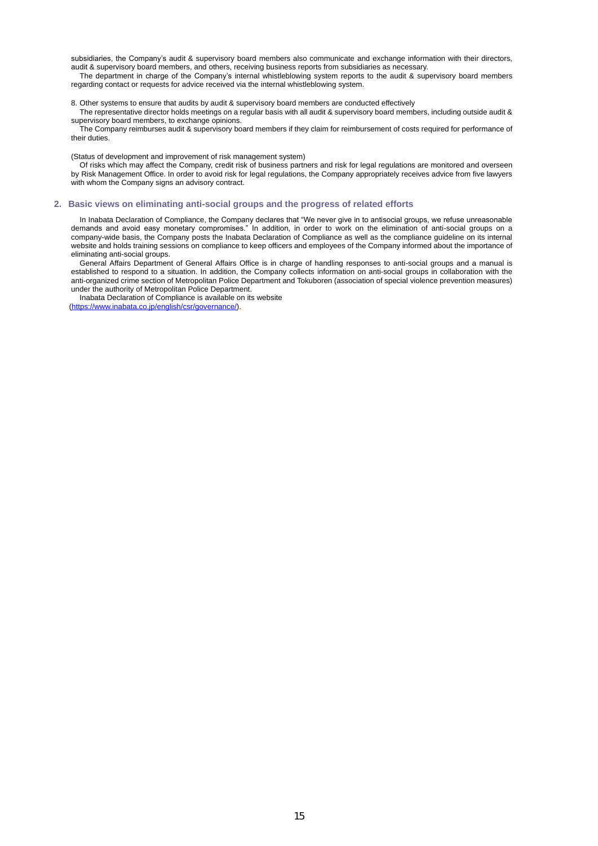subsidiaries, the Company's audit & supervisory board members also communicate and exchange information with their directors, audit & supervisory board members, and others, receiving business reports from subsidiaries as necessary.

The department in charge of the Company's internal whistleblowing system reports to the audit & supervisory board members regarding contact or requests for advice received via the internal whistleblowing system.

### 8. Other systems to ensure that audits by audit & supervisory board members are conducted effectively

The representative director holds meetings on a regular basis with all audit & supervisory board members, including outside audit & supervisory board members, to exchange opinions.

The Company reimburses audit & supervisory board members if they claim for reimbursement of costs required for performance of their duties.

(Status of development and improvement of risk management system)

Of risks which may affect the Company, credit risk of business partners and risk for legal regulations are monitored and overseen by Risk Management Office. In order to avoid risk for legal regulations, the Company appropriately receives advice from five lawyers with whom the Company signs an advisory contract.

## **2. Basic views on eliminating anti-social groups and the progress of related efforts**

In Inabata Declaration of Compliance, the Company declares that "We never give in to antisocial groups, we refuse unreasonable demands and avoid easy monetary compromises." In addition, in order to work on the elimination of anti-social groups on a company-wide basis, the Company posts the Inabata Declaration of Compliance as well as the compliance guideline on its internal website and holds training sessions on compliance to keep officers and employees of the Company informed about the importance of eliminating anti-social groups.

General Affairs Department of General Affairs Office is in charge of handling responses to anti-social groups and a manual is established to respond to a situation. In addition, the Company collects information on anti-social groups in collaboration with the anti-organized crime section of Metropolitan Police Department and Tokuboren (association of special violence prevention measures) under the authority of Metropolitan Police Department.

Inabata Declaration of Compliance is available on its website [\(https://www.inabata.co.jp/english/csr/governance/\)](https://www.inabata.co.jp/english/csr/governance/).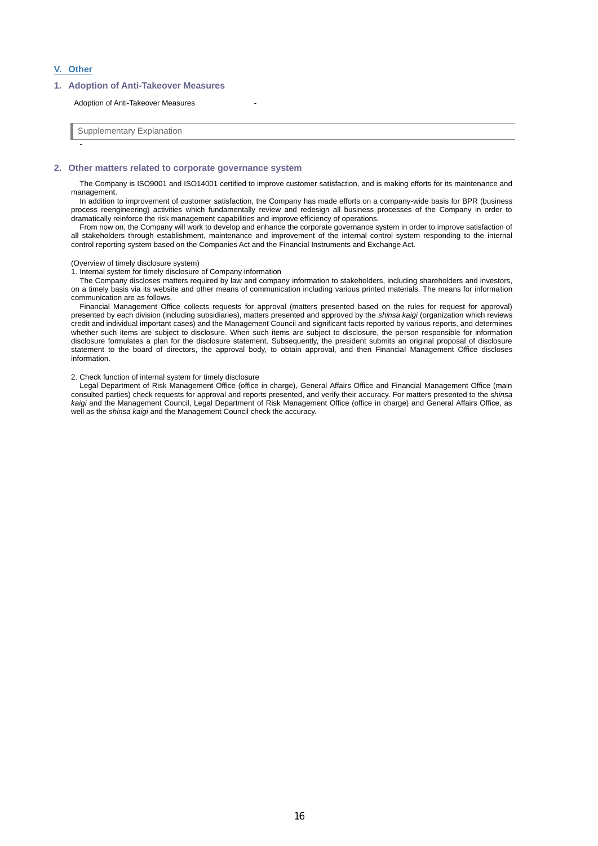## **V. Other**

-

## **1. Adoption of Anti-Takeover Measures**

#### Adoption of Anti-Takeover Measures

Supplementary Explanation

## **2. Other matters related to corporate governance system**

The Company is ISO9001 and ISO14001 certified to improve customer satisfaction, and is making efforts for its maintenance and management.

In addition to improvement of customer satisfaction, the Company has made efforts on a company-wide basis for BPR (business process reengineering) activities which fundamentally review and redesign all business processes of the Company in order to dramatically reinforce the risk management capabilities and improve efficiency of operations.

From now on, the Company will work to develop and enhance the corporate governance system in order to improve satisfaction of all stakeholders through establishment, maintenance and improvement of the internal control system responding to the internal control reporting system based on the Companies Act and the Financial Instruments and Exchange Act.

#### (Overview of timely disclosure system)

1. Internal system for timely disclosure of Company information

The Company discloses matters required by law and company information to stakeholders, including shareholders and investors, on a timely basis via its website and other means of communication including various printed materials. The means for information communication are as follows.

Financial Management Office collects requests for approval (matters presented based on the rules for request for approval) presented by each division (including subsidiaries), matters presented and approved by the *shinsa kaigi* (organization which reviews credit and individual important cases) and the Management Council and significant facts reported by various reports, and determines whether such items are subject to disclosure. When such items are subject to disclosure, the person responsible for information disclosure formulates a plan for the disclosure statement. Subsequently, the president submits an original proposal of disclosure statement to the board of directors, the approval body, to obtain approval, and then Financial Management Office discloses information.

#### 2. Check function of internal system for timely disclosure

Legal Department of Risk Management Office (office in charge), General Affairs Office and Financial Management Office (main consulted parties) check requests for approval and reports presented, and verify their accuracy. For matters presented to the *shinsa kaigi* and the Management Council, Legal Department of Risk Management Office (office in charge) and General Affairs Office, as well as the *shinsa kaigi* and the Management Council check the accuracy.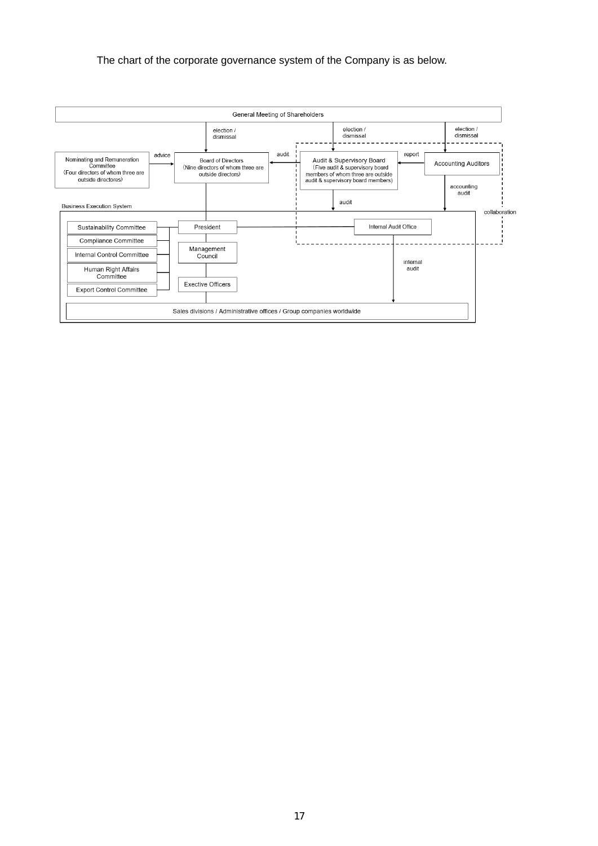## The chart of the corporate governance system of the Company is as below.

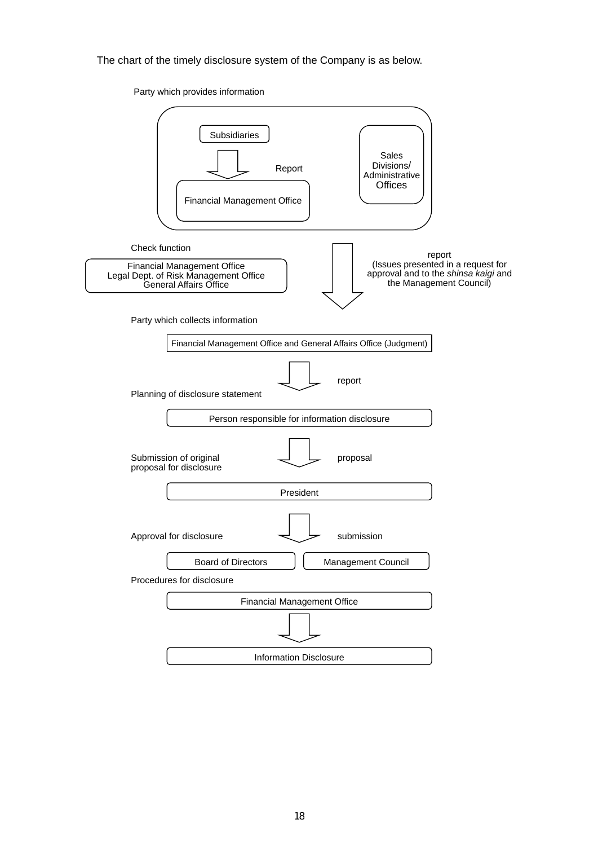The chart of the timely disclosure system of the Company is as below.

Party which provides information

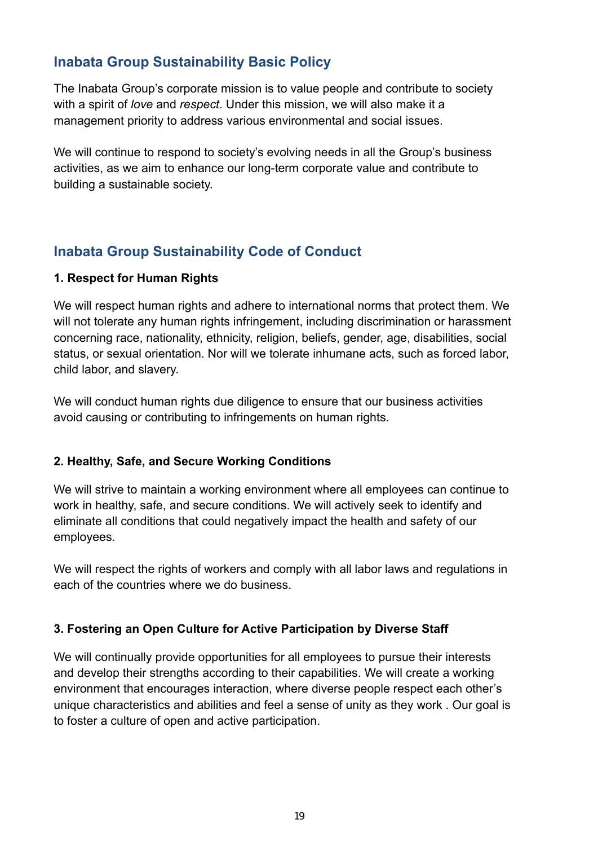# **Inabata Group Sustainability Basic Policy**

The Inabata Group's corporate mission is to value people and contribute to society with a spirit of *love* and *respect*. Under this mission, we will also make it a management priority to address various environmental and social issues.

We will continue to respond to society's evolving needs in all the Group's business activities, as we aim to enhance our long-term corporate value and contribute to building a sustainable society.

# **Inabata Group Sustainability Code of Conduct**

# **1. Respect for Human Rights**

We will respect human rights and adhere to international norms that protect them. We will not tolerate any human rights infringement, including discrimination or harassment concerning race, nationality, ethnicity, religion, beliefs, gender, age, disabilities, social status, or sexual orientation. Nor will we tolerate inhumane acts, such as forced labor, child labor, and slavery.

We will conduct human rights due diligence to ensure that our business activities avoid causing or contributing to infringements on human rights.

# **2. Healthy, Safe, and Secure Working Conditions**

We will strive to maintain a working environment where all employees can continue to work in healthy, safe, and secure conditions. We will actively seek to identify and eliminate all conditions that could negatively impact the health and safety of our employees.

We will respect the rights of workers and comply with all labor laws and regulations in each of the countries where we do business.

# **3. Fostering an Open Culture for Active Participation by Diverse Staff**

We will continually provide opportunities for all employees to pursue their interests and develop their strengths according to their capabilities. We will create a working environment that encourages interaction, where diverse people respect each other's unique characteristics and abilities and feel a sense of unity as they work . Our goal is to foster a culture of open and active participation.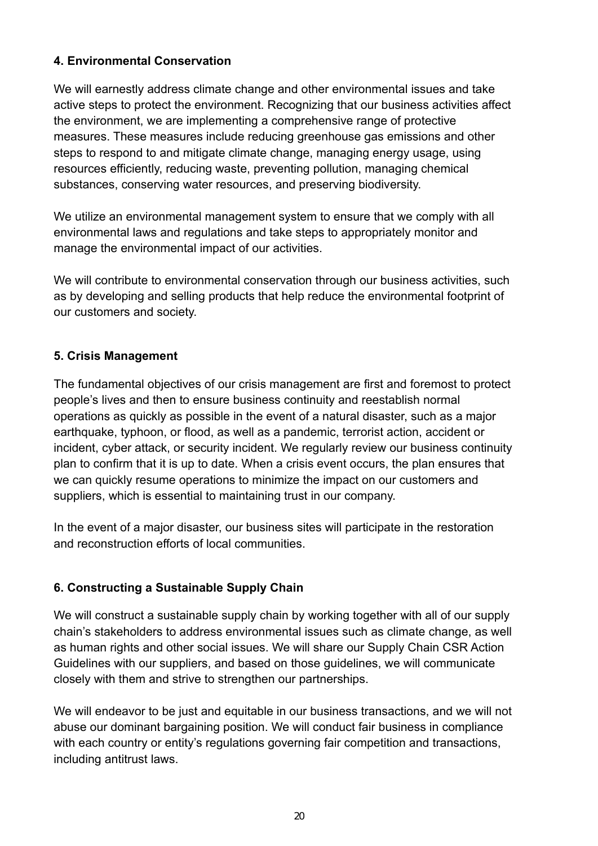# **4. Environmental Conservation**

We will earnestly address climate change and other environmental issues and take active steps to protect the environment. Recognizing that our business activities affect the environment, we are implementing a comprehensive range of protective measures. These measures include reducing greenhouse gas emissions and other steps to respond to and mitigate climate change, managing energy usage, using resources efficiently, reducing waste, preventing pollution, managing chemical substances, conserving water resources, and preserving biodiversity.

We utilize an environmental management system to ensure that we comply with all environmental laws and regulations and take steps to appropriately monitor and manage the environmental impact of our activities.

We will contribute to environmental conservation through our business activities, such as by developing and selling products that help reduce the environmental footprint of our customers and society.

# **5. Crisis Management**

The fundamental objectives of our crisis management are first and foremost to protect people's lives and then to ensure business continuity and reestablish normal operations as quickly as possible in the event of a natural disaster, such as a major earthquake, typhoon, or flood, as well as a pandemic, terrorist action, accident or incident, cyber attack, or security incident. We regularly review our business continuity plan to confirm that it is up to date. When a crisis event occurs, the plan ensures that we can quickly resume operations to minimize the impact on our customers and suppliers, which is essential to maintaining trust in our company.

In the event of a major disaster, our business sites will participate in the restoration and reconstruction efforts of local communities.

# **6. Constructing a Sustainable Supply Chain**

We will construct a sustainable supply chain by working together with all of our supply chain's stakeholders to address environmental issues such as climate change, as well as human rights and other social issues. We will share our Supply Chain CSR Action Guidelines with our suppliers, and based on those guidelines, we will communicate closely with them and strive to strengthen our partnerships.

We will endeavor to be just and equitable in our business transactions, and we will not abuse our dominant bargaining position. We will conduct fair business in compliance with each country or entity's regulations governing fair competition and transactions, including antitrust laws.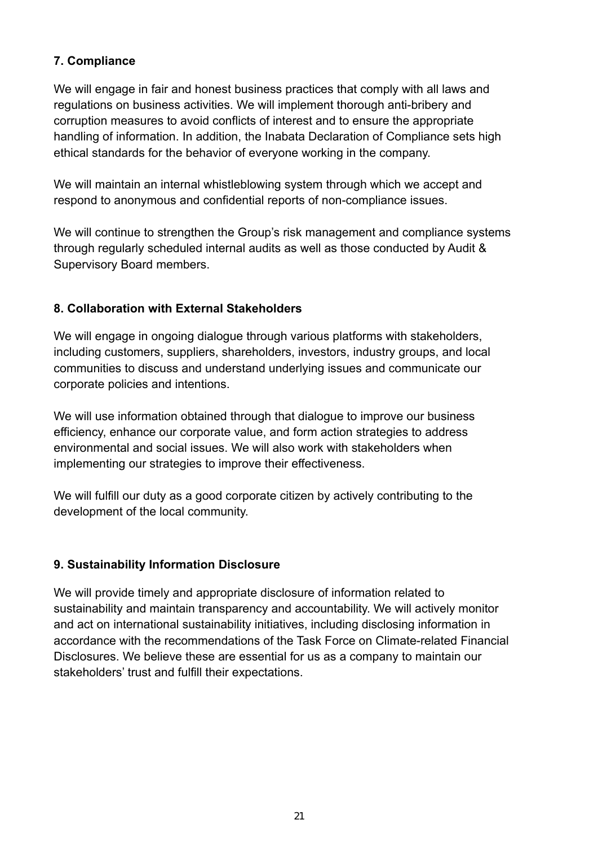# **7. Compliance**

We will engage in fair and honest business practices that comply with all laws and regulations on business activities. We will implement thorough anti-bribery and corruption measures to avoid conflicts of interest and to ensure the appropriate handling of information. In addition, the Inabata Declaration of Compliance sets high ethical standards for the behavior of everyone working in the company.

We will maintain an internal whistleblowing system through which we accept and respond to anonymous and confidential reports of non-compliance issues.

We will continue to strengthen the Group's risk management and compliance systems through regularly scheduled internal audits as well as those conducted by Audit & Supervisory Board members.

# **8. Collaboration with External Stakeholders**

We will engage in ongoing dialogue through various platforms with stakeholders, including customers, suppliers, shareholders, investors, industry groups, and local communities to discuss and understand underlying issues and communicate our corporate policies and intentions.

We will use information obtained through that dialogue to improve our business efficiency, enhance our corporate value, and form action strategies to address environmental and social issues. We will also work with stakeholders when implementing our strategies to improve their effectiveness.

We will fulfill our duty as a good corporate citizen by actively contributing to the development of the local community.

# **9. Sustainability Information Disclosure**

We will provide timely and appropriate disclosure of information related to sustainability and maintain transparency and accountability. We will actively monitor and act on international sustainability initiatives, including disclosing information in accordance with the recommendations of the Task Force on Climate-related Financial Disclosures. We believe these are essential for us as a company to maintain our stakeholders' trust and fulfill their expectations.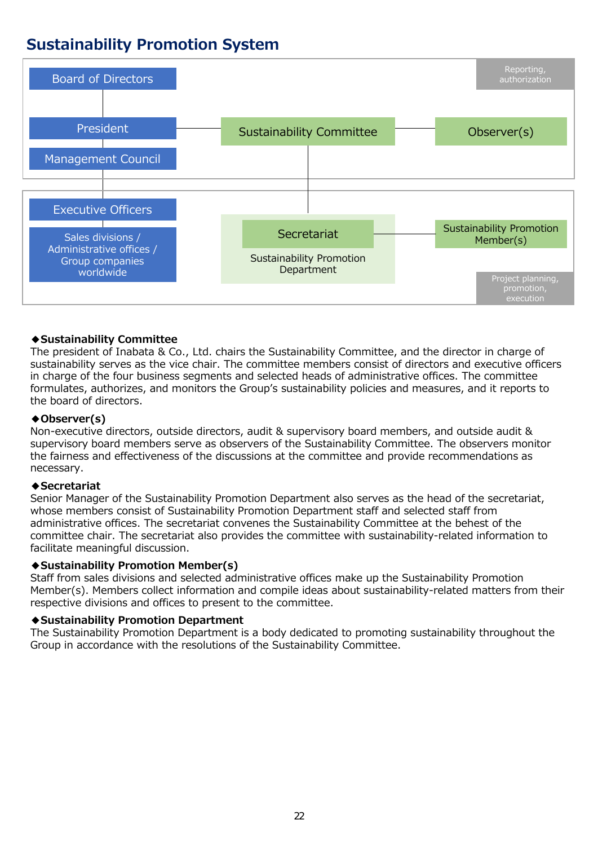# **Sustainability Promotion System**



## **◆Sustainability Committee**

The president of Inabata & Co., Ltd. chairs the Sustainability Committee, and the director in charge of sustainability serves as the vice chair. The committee members consist of directors and executive officers in charge of the four business segments and selected heads of administrative offices. The committee formulates, authorizes, and monitors the Group's sustainability policies and measures, and it reports to the board of directors.

## **◆Observer(s)**

Non-executive directors, outside directors, audit & supervisory board members, and outside audit & supervisory board members serve as observers of the Sustainability Committee. The observers monitor the fairness and effectiveness of the discussions at the committee and provide recommendations as necessary.

## **◆Secretariat**

Senior Manager of the Sustainability Promotion Department also serves as the head of the secretariat, whose members consist of Sustainability Promotion Department staff and selected staff from administrative offices. The secretariat convenes the Sustainability Committee at the behest of the committee chair. The secretariat also provides the committee with sustainability-related information to facilitate meaningful discussion.

## **◆Sustainability Promotion Member(s)**

Staff from sales divisions and selected administrative offices make up the Sustainability Promotion Member(s). Members collect information and compile ideas about sustainability-related matters from their respective divisions and offices to present to the committee.

## **◆Sustainability Promotion Department**

The Sustainability Promotion Department is a body dedicated to promoting sustainability throughout the Group in accordance with the resolutions of the Sustainability Committee.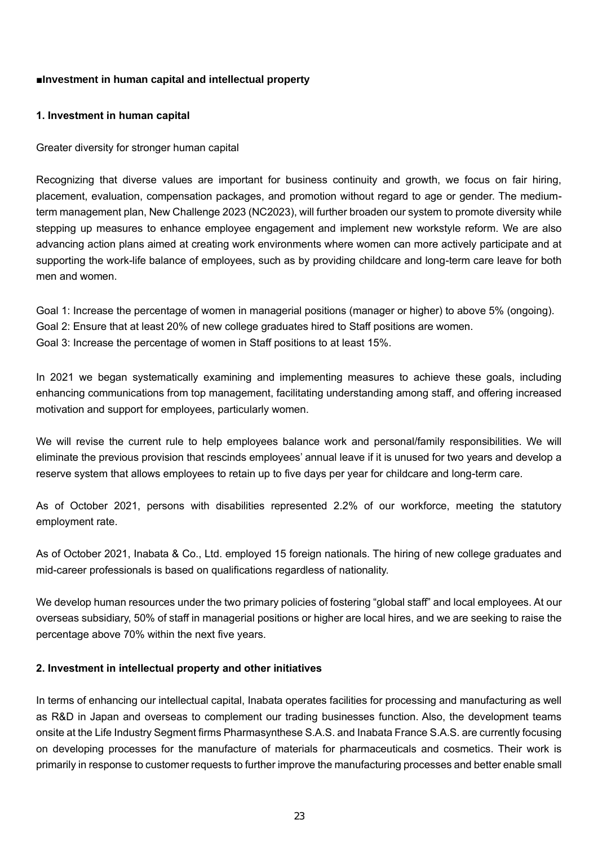## ■**Investment in human capital and intellectual property**

## **1. Investment in human capital**

Greater diversity for stronger human capital

Recognizing that diverse values are important for business continuity and growth, we focus on fair hiring, placement, evaluation, compensation packages, and promotion without regard to age or gender. The mediumterm management plan, New Challenge 2023 (NC2023), will further broaden our system to promote diversity while stepping up measures to enhance employee engagement and implement new workstyle reform. We are also advancing action plans aimed at creating work environments where women can more actively participate and at supporting the work-life balance of employees, such as by providing childcare and long-term care leave for both men and women.

Goal 1: Increase the percentage of women in managerial positions (manager or higher) to above 5% (ongoing). Goal 2: Ensure that at least 20% of new college graduates hired to Staff positions are women. Goal 3: Increase the percentage of women in Staff positions to at least 15%.

In 2021 we began systematically examining and implementing measures to achieve these goals, including enhancing communications from top management, facilitating understanding among staff, and offering increased motivation and support for employees, particularly women.

We will revise the current rule to help employees balance work and personal/family responsibilities. We will eliminate the previous provision that rescinds employees' annual leave if it is unused for two years and develop a reserve system that allows employees to retain up to five days per year for childcare and long-term care.

As of October 2021, persons with disabilities represented 2.2% of our workforce, meeting the statutory employment rate.

As of October 2021, Inabata & Co., Ltd. employed 15 foreign nationals. The hiring of new college graduates and mid-career professionals is based on qualifications regardless of nationality.

We develop human resources under the two primary policies of fostering "global staff" and local employees. At our overseas subsidiary, 50% of staff in managerial positions or higher are local hires, and we are seeking to raise the percentage above 70% within the next five years.

## **2. Investment in intellectual property and other initiatives**

In terms of enhancing our intellectual capital, Inabata operates facilities for processing and manufacturing as well as R&D in Japan and overseas to complement our trading businesses function. Also, the development teams onsite at the Life Industry Segment firms Pharmasynthese S.A.S. and Inabata France S.A.S. are currently focusing on developing processes for the manufacture of materials for pharmaceuticals and cosmetics. Their work is primarily in response to customer requests to further improve the manufacturing processes and better enable small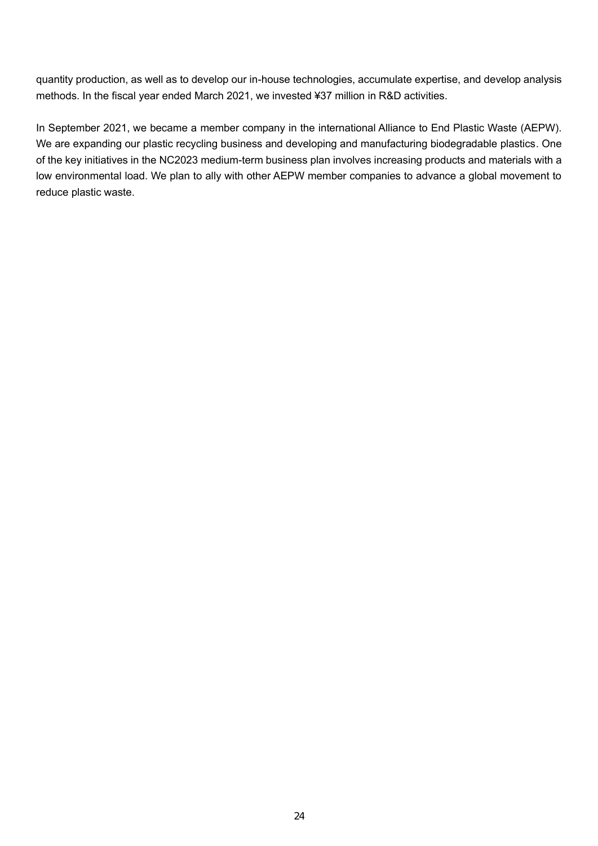quantity production, as well as to develop our in-house technologies, accumulate expertise, and develop analysis methods. In the fiscal year ended March 2021, we invested ¥37 million in R&D activities.

In September 2021, we became a member company in the international Alliance to End Plastic Waste (AEPW). We are expanding our plastic recycling business and developing and manufacturing biodegradable plastics. One of the key initiatives in the NC2023 medium-term business plan involves increasing products and materials with a low environmental load. We plan to ally with other AEPW member companies to advance a global movement to reduce plastic waste.